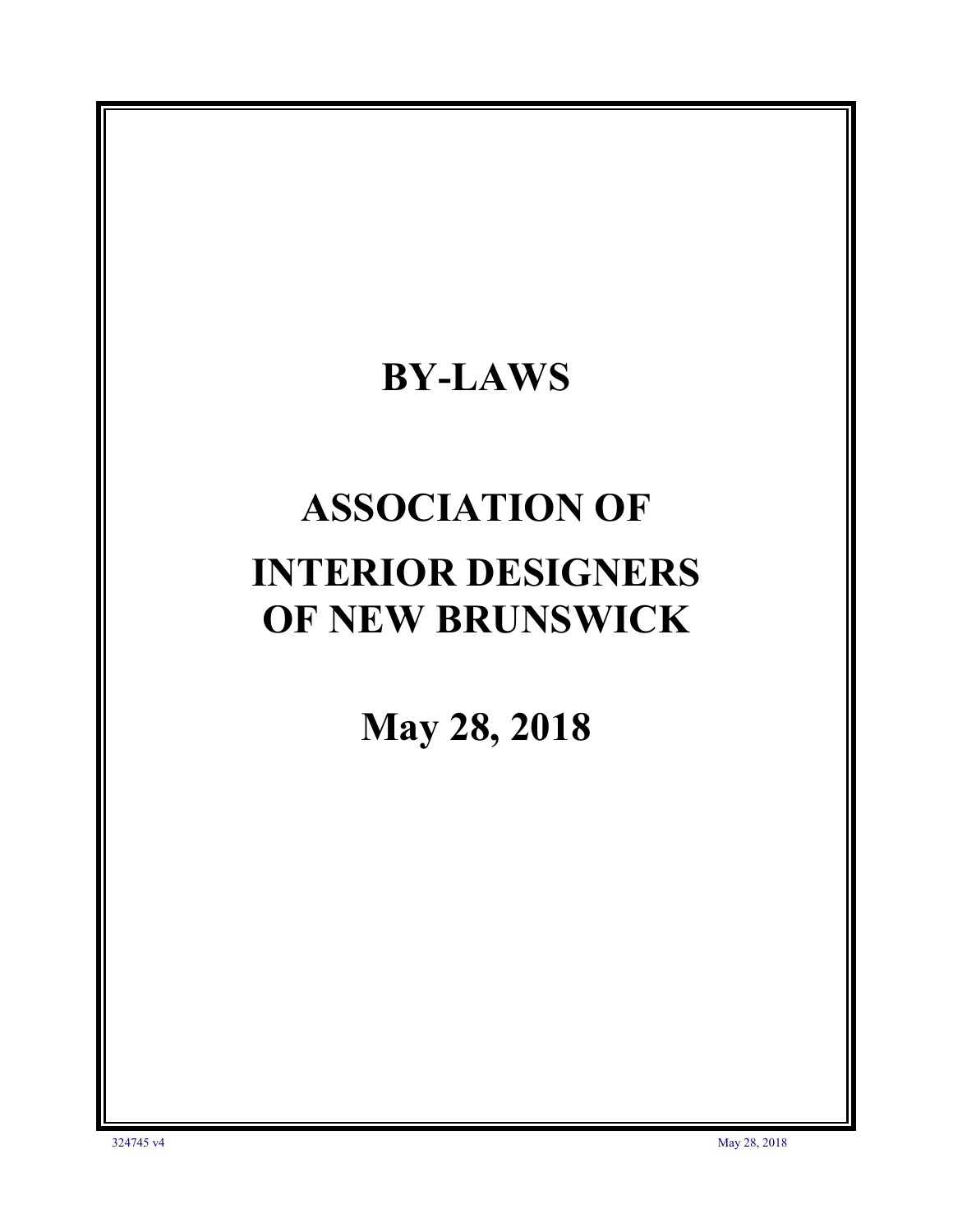## **BY-LAWS**

# **ASSOCIATION OF INTERIOR DESIGNERS OF NEW BRUNSWICK**

**May 28, 2018**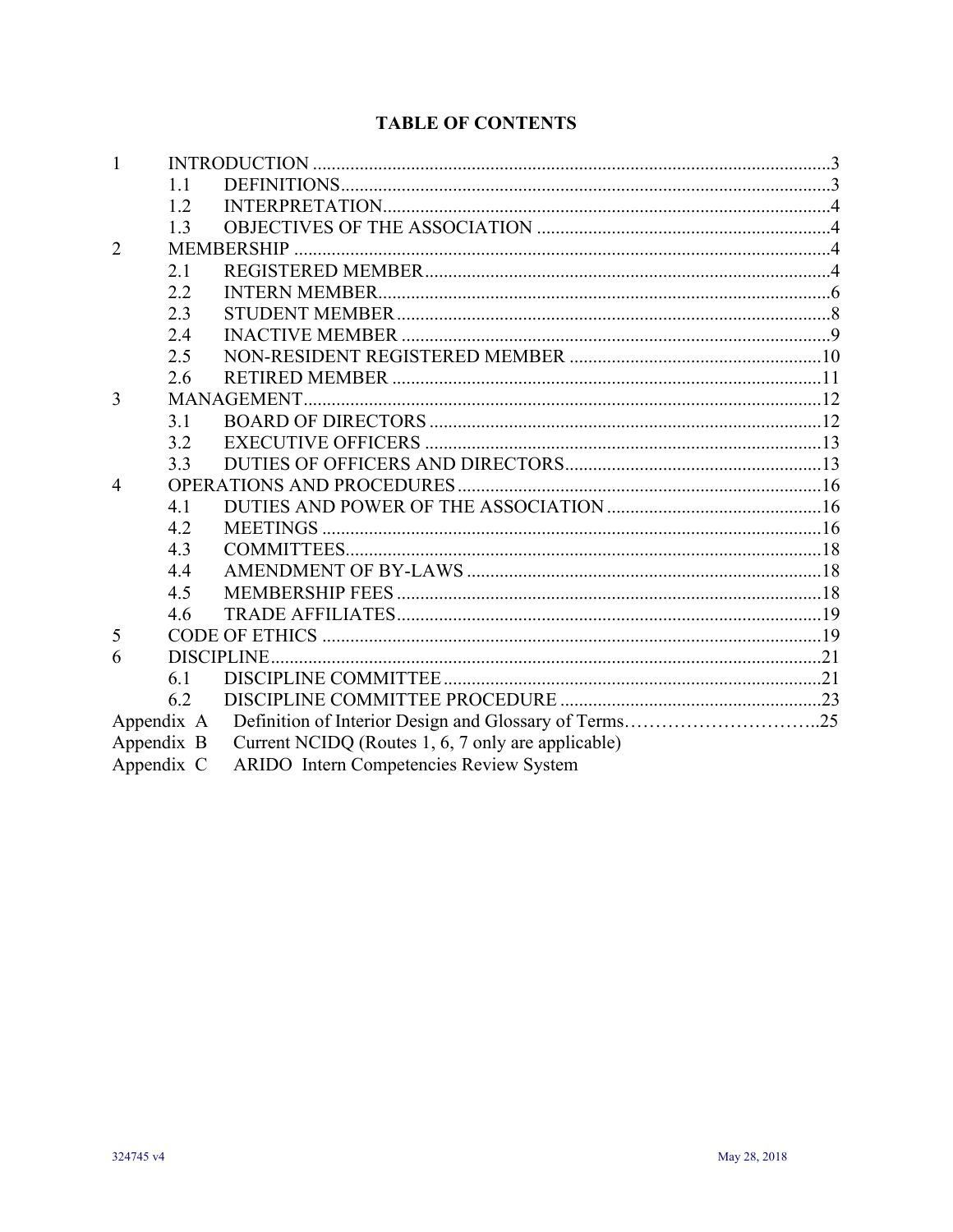## **TABLE OF CONTENTS**

| $\mathbf{1}$   |     |                                                    |  |
|----------------|-----|----------------------------------------------------|--|
|                | 11  |                                                    |  |
|                | 1.2 |                                                    |  |
|                | 1.3 |                                                    |  |
| $\overline{2}$ |     |                                                    |  |
|                | 2.1 |                                                    |  |
|                | 2.2 |                                                    |  |
|                | 2.3 |                                                    |  |
|                | 2.4 |                                                    |  |
|                | 2.5 |                                                    |  |
|                | 2.6 |                                                    |  |
| 3              |     |                                                    |  |
|                | 3.1 |                                                    |  |
|                | 3.2 |                                                    |  |
|                | 3.3 |                                                    |  |
| $\overline{4}$ |     |                                                    |  |
|                | 4.1 |                                                    |  |
|                | 4.2 |                                                    |  |
|                | 4.3 |                                                    |  |
|                | 4.4 |                                                    |  |
|                | 4.5 |                                                    |  |
|                | 4.6 |                                                    |  |
| 5              |     |                                                    |  |
| 6              |     |                                                    |  |
|                | 6.1 |                                                    |  |
|                | 6.2 |                                                    |  |
| Appendix A     |     |                                                    |  |
| Appendix B     |     | Current NCIDQ (Routes 1, 6, 7 only are applicable) |  |
| Appendix C     |     | <b>ARIDO</b> Intern Competencies Review System     |  |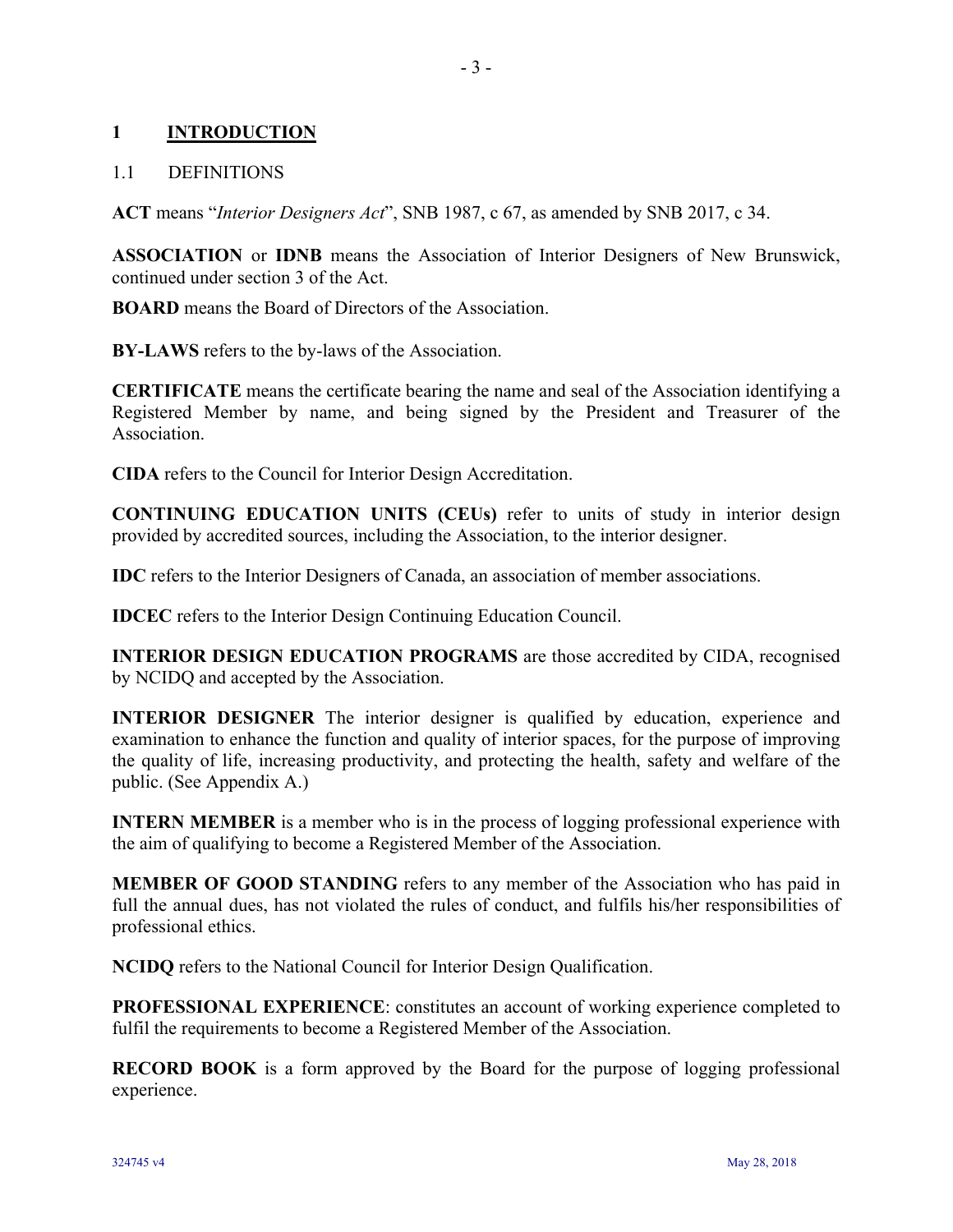## **1 INTRODUCTION**

#### 1.1 DEFINITIONS

**ACT** means "*Interior Designers Act*", SNB 1987, c 67, as amended by SNB 2017, c 34.

**ASSOCIATION** or **IDNB** means the Association of Interior Designers of New Brunswick, continued under section 3 of the Act.

**BOARD** means the Board of Directors of the Association.

**BY-LAWS** refers to the by-laws of the Association.

**CERTIFICATE** means the certificate bearing the name and seal of the Association identifying a Registered Member by name, and being signed by the President and Treasurer of the Association.

**CIDA** refers to the Council for Interior Design Accreditation.

**CONTINUING EDUCATION UNITS (CEUs)** refer to units of study in interior design provided by accredited sources, including the Association, to the interior designer.

**IDC** refers to the Interior Designers of Canada, an association of member associations.

**IDCEC** refers to the Interior Design Continuing Education Council.

**INTERIOR DESIGN EDUCATION PROGRAMS** are those accredited by CIDA, recognised by NCIDQ and accepted by the Association.

**INTERIOR DESIGNER** The interior designer is qualified by education, experience and examination to enhance the function and quality of interior spaces, for the purpose of improving the quality of life, increasing productivity, and protecting the health, safety and welfare of the public. (See Appendix A.)

**INTERN MEMBER** is a member who is in the process of logging professional experience with the aim of qualifying to become a Registered Member of the Association.

**MEMBER OF GOOD STANDING** refers to any member of the Association who has paid in full the annual dues, has not violated the rules of conduct, and fulfils his/her responsibilities of professional ethics.

**NCIDQ** refers to the National Council for Interior Design Qualification.

**PROFESSIONAL EXPERIENCE**: constitutes an account of working experience completed to fulfil the requirements to become a Registered Member of the Association.

**RECORD BOOK** is a form approved by the Board for the purpose of logging professional experience.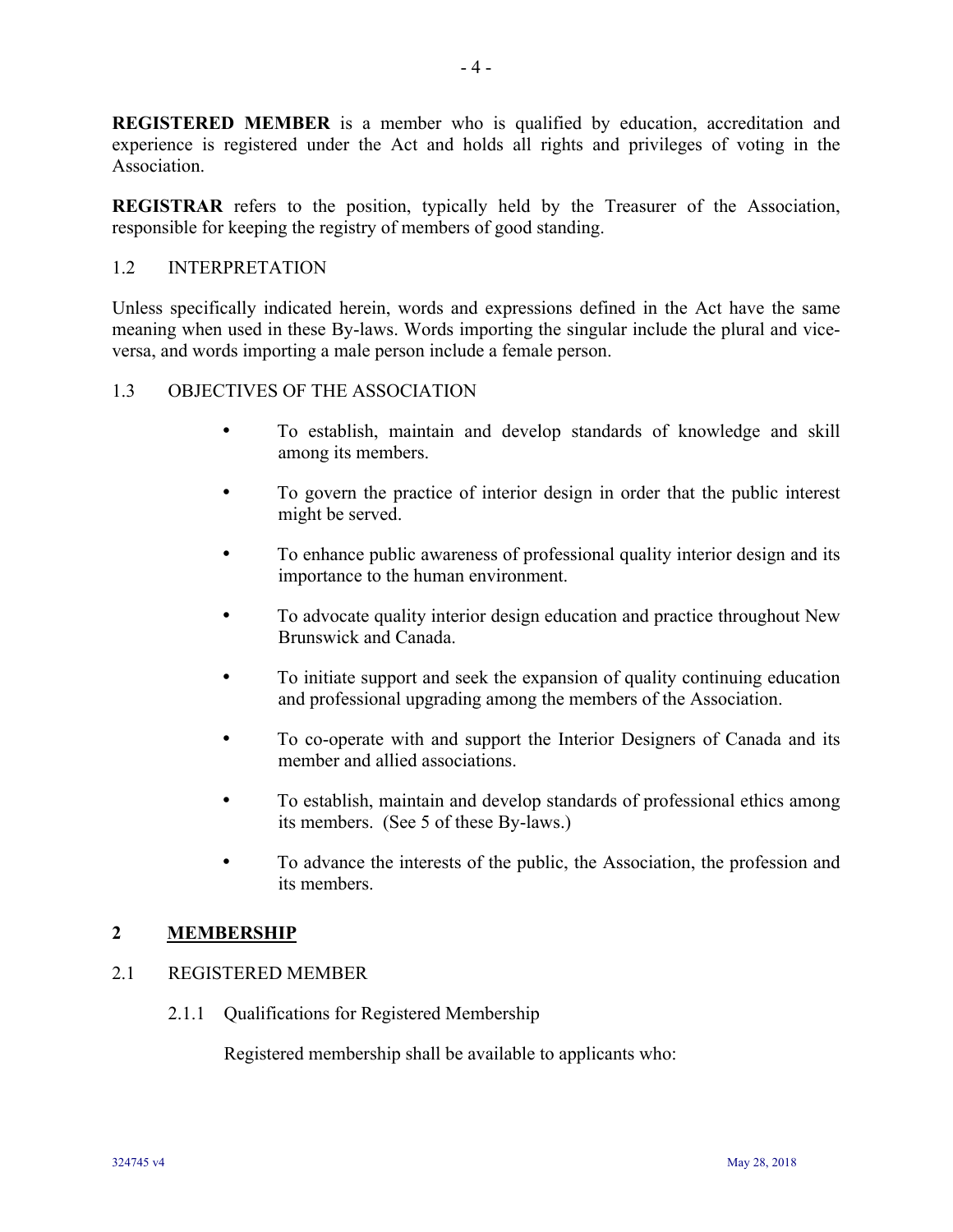**REGISTERED MEMBER** is a member who is qualified by education, accreditation and experience is registered under the Act and holds all rights and privileges of voting in the Association.

**REGISTRAR** refers to the position, typically held by the Treasurer of the Association, responsible for keeping the registry of members of good standing.

## 1.2 INTERPRETATION

Unless specifically indicated herein, words and expressions defined in the Act have the same meaning when used in these By-laws. Words importing the singular include the plural and viceversa, and words importing a male person include a female person.

## 1.3 OBJECTIVES OF THE ASSOCIATION

- To establish, maintain and develop standards of knowledge and skill among its members.
- To govern the practice of interior design in order that the public interest might be served.
- To enhance public awareness of professional quality interior design and its importance to the human environment.
- To advocate quality interior design education and practice throughout New Brunswick and Canada.
- To initiate support and seek the expansion of quality continuing education and professional upgrading among the members of the Association.
- To co-operate with and support the Interior Designers of Canada and its member and allied associations.
- To establish, maintain and develop standards of professional ethics among its members. (See 5 of these By-laws.)
- To advance the interests of the public, the Association, the profession and its members.

## **2 MEMBERSHIP**

## 2.1 REGISTERED MEMBER

2.1.1 Qualifications for Registered Membership

Registered membership shall be available to applicants who: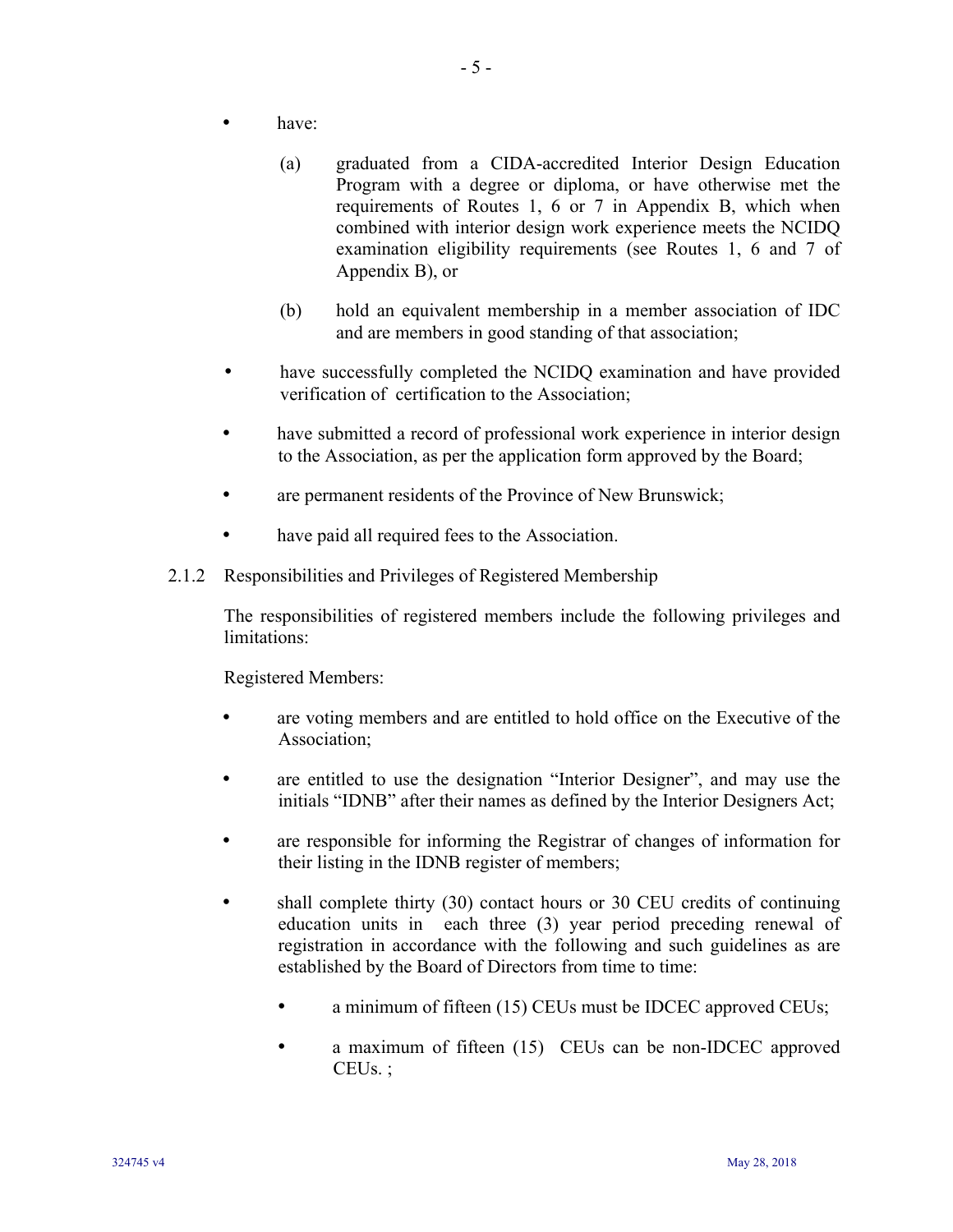- have<sup>-</sup>
	- (a) graduated from a CIDA-accredited Interior Design Education Program with a degree or diploma, or have otherwise met the requirements of Routes 1, 6 or 7 in Appendix B, which when combined with interior design work experience meets the NCIDQ examination eligibility requirements (see Routes 1, 6 and 7 of Appendix B), or
	- (b) hold an equivalent membership in a member association of IDC and are members in good standing of that association;
- have successfully completed the NCIDO examination and have provided verification of certification to the Association;
- have submitted a record of professional work experience in interior design to the Association, as per the application form approved by the Board;
- are permanent residents of the Province of New Brunswick;
- have paid all required fees to the Association.
- 2.1.2 Responsibilities and Privileges of Registered Membership

The responsibilities of registered members include the following privileges and limitations:

Registered Members:

- are voting members and are entitled to hold office on the Executive of the Association;
- are entitled to use the designation "Interior Designer", and may use the initials "IDNB" after their names as defined by the Interior Designers Act;
- are responsible for informing the Registrar of changes of information for their listing in the IDNB register of members;
- shall complete thirty (30) contact hours or 30 CEU credits of continuing education units in each three (3) year period preceding renewal of registration in accordance with the following and such guidelines as are established by the Board of Directors from time to time:
	- a minimum of fifteen (15) CEUs must be IDCEC approved CEUs;
	- a maximum of fifteen (15) CEUs can be non-IDCEC approved CEU<sub>s.</sub>;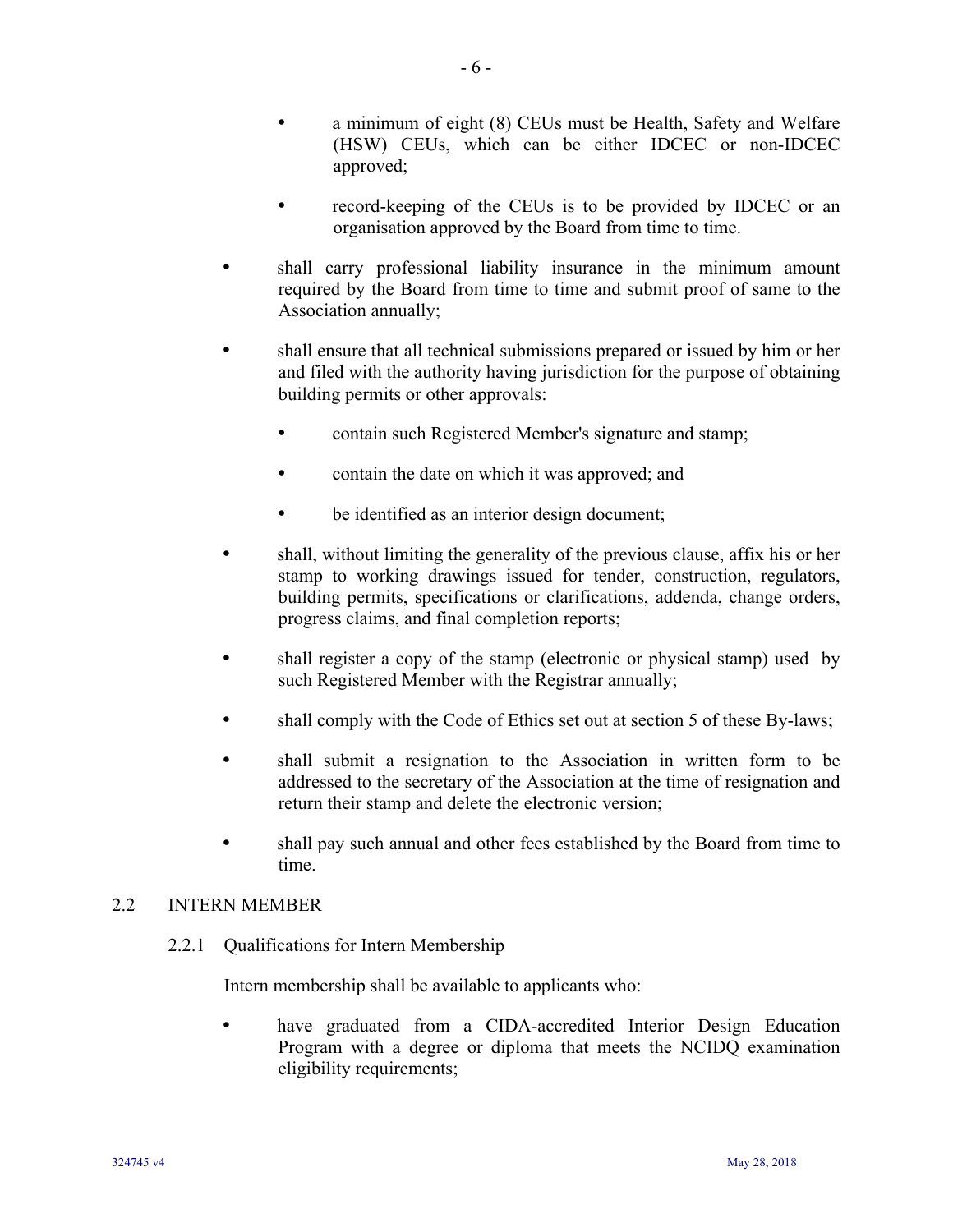- a minimum of eight (8) CEUs must be Health, Safety and Welfare (HSW) CEUs, which can be either IDCEC or non-IDCEC approved;
- record-keeping of the CEUs is to be provided by IDCEC or an organisation approved by the Board from time to time.
- shall carry professional liability insurance in the minimum amount required by the Board from time to time and submit proof of same to the Association annually;
- shall ensure that all technical submissions prepared or issued by him or her and filed with the authority having jurisdiction for the purpose of obtaining building permits or other approvals:
	- contain such Registered Member's signature and stamp;
	- contain the date on which it was approved; and
	- be identified as an interior design document;
- shall, without limiting the generality of the previous clause, affix his or her stamp to working drawings issued for tender, construction, regulators, building permits, specifications or clarifications, addenda, change orders, progress claims, and final completion reports;
- shall register a copy of the stamp (electronic or physical stamp) used by such Registered Member with the Registrar annually;
- shall comply with the Code of Ethics set out at section 5 of these By-laws;
- shall submit a resignation to the Association in written form to be addressed to the secretary of the Association at the time of resignation and return their stamp and delete the electronic version;
- shall pay such annual and other fees established by the Board from time to time.

## 2.2 INTERN MEMBER

2.2.1 Qualifications for Intern Membership

Intern membership shall be available to applicants who:

• have graduated from a CIDA-accredited Interior Design Education Program with a degree or diploma that meets the NCIDQ examination eligibility requirements;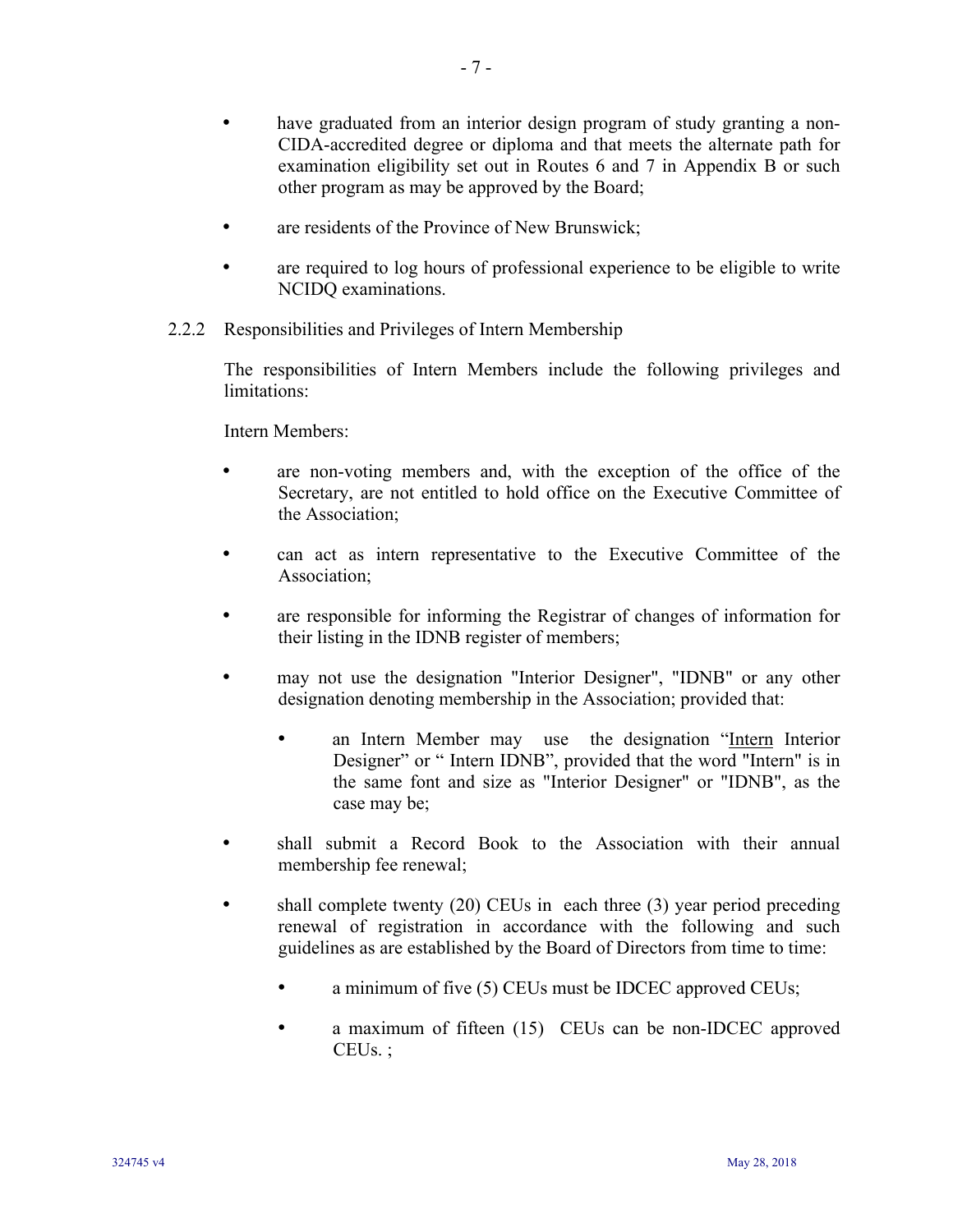- have graduated from an interior design program of study granting a non-CIDA-accredited degree or diploma and that meets the alternate path for examination eligibility set out in Routes 6 and 7 in Appendix B or such other program as may be approved by the Board;
- are residents of the Province of New Brunswick;
- are required to log hours of professional experience to be eligible to write NCIDQ examinations.
- 2.2.2 Responsibilities and Privileges of Intern Membership

The responsibilities of Intern Members include the following privileges and limitations:

Intern Members:

- are non-voting members and, with the exception of the office of the Secretary, are not entitled to hold office on the Executive Committee of the Association;
- can act as intern representative to the Executive Committee of the Association;
- are responsible for informing the Registrar of changes of information for their listing in the IDNB register of members;
- may not use the designation "Interior Designer", "IDNB" or any other designation denoting membership in the Association; provided that:
	- an Intern Member may use the designation "Interior Interior Designer" or " Intern IDNB", provided that the word "Intern" is in the same font and size as "Interior Designer" or "IDNB", as the case may be;
- shall submit a Record Book to the Association with their annual membership fee renewal;
- shall complete twenty (20) CEUs in each three (3) year period preceding renewal of registration in accordance with the following and such guidelines as are established by the Board of Directors from time to time:
	- a minimum of five (5) CEUs must be IDCEC approved CEUs;
	- a maximum of fifteen (15) CEUs can be non-IDCEC approved CEUs. ;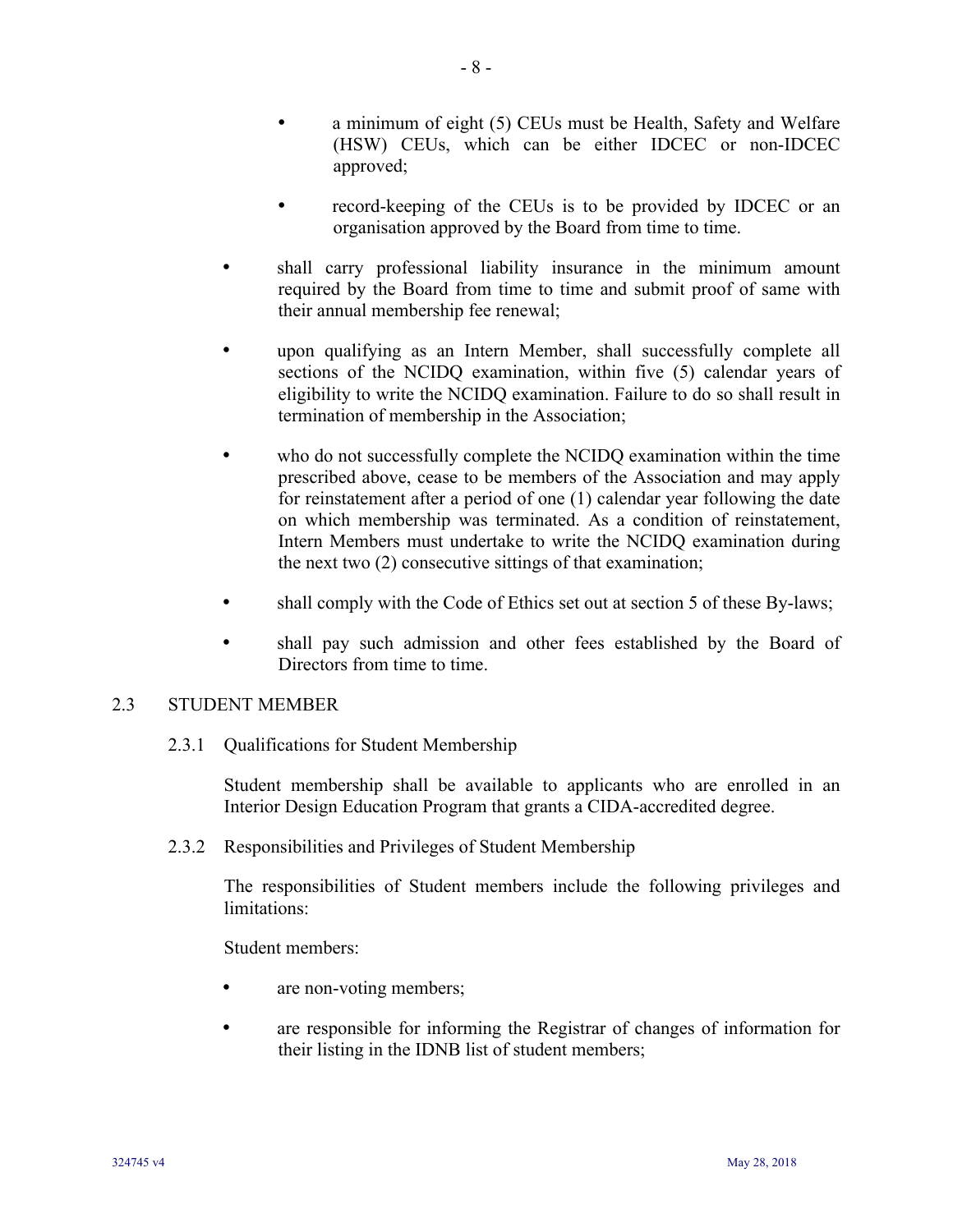- a minimum of eight (5) CEUs must be Health, Safety and Welfare (HSW) CEUs, which can be either IDCEC or non-IDCEC approved;
- record-keeping of the CEUs is to be provided by IDCEC or an organisation approved by the Board from time to time.
- shall carry professional liability insurance in the minimum amount required by the Board from time to time and submit proof of same with their annual membership fee renewal;
- upon qualifying as an Intern Member, shall successfully complete all sections of the NCIDQ examination, within five (5) calendar years of eligibility to write the NCIDQ examination. Failure to do so shall result in termination of membership in the Association;
- who do not successfully complete the NCIDQ examination within the time prescribed above, cease to be members of the Association and may apply for reinstatement after a period of one (1) calendar year following the date on which membership was terminated. As a condition of reinstatement, Intern Members must undertake to write the NCIDQ examination during the next two (2) consecutive sittings of that examination;
- shall comply with the Code of Ethics set out at section 5 of these By-laws;
- shall pay such admission and other fees established by the Board of Directors from time to time.

## 2.3 STUDENT MEMBER

2.3.1 Qualifications for Student Membership

Student membership shall be available to applicants who are enrolled in an Interior Design Education Program that grants a CIDA-accredited degree.

2.3.2 Responsibilities and Privileges of Student Membership

The responsibilities of Student members include the following privileges and limitations:

Student members:

- are non-voting members;
- are responsible for informing the Registrar of changes of information for their listing in the IDNB list of student members;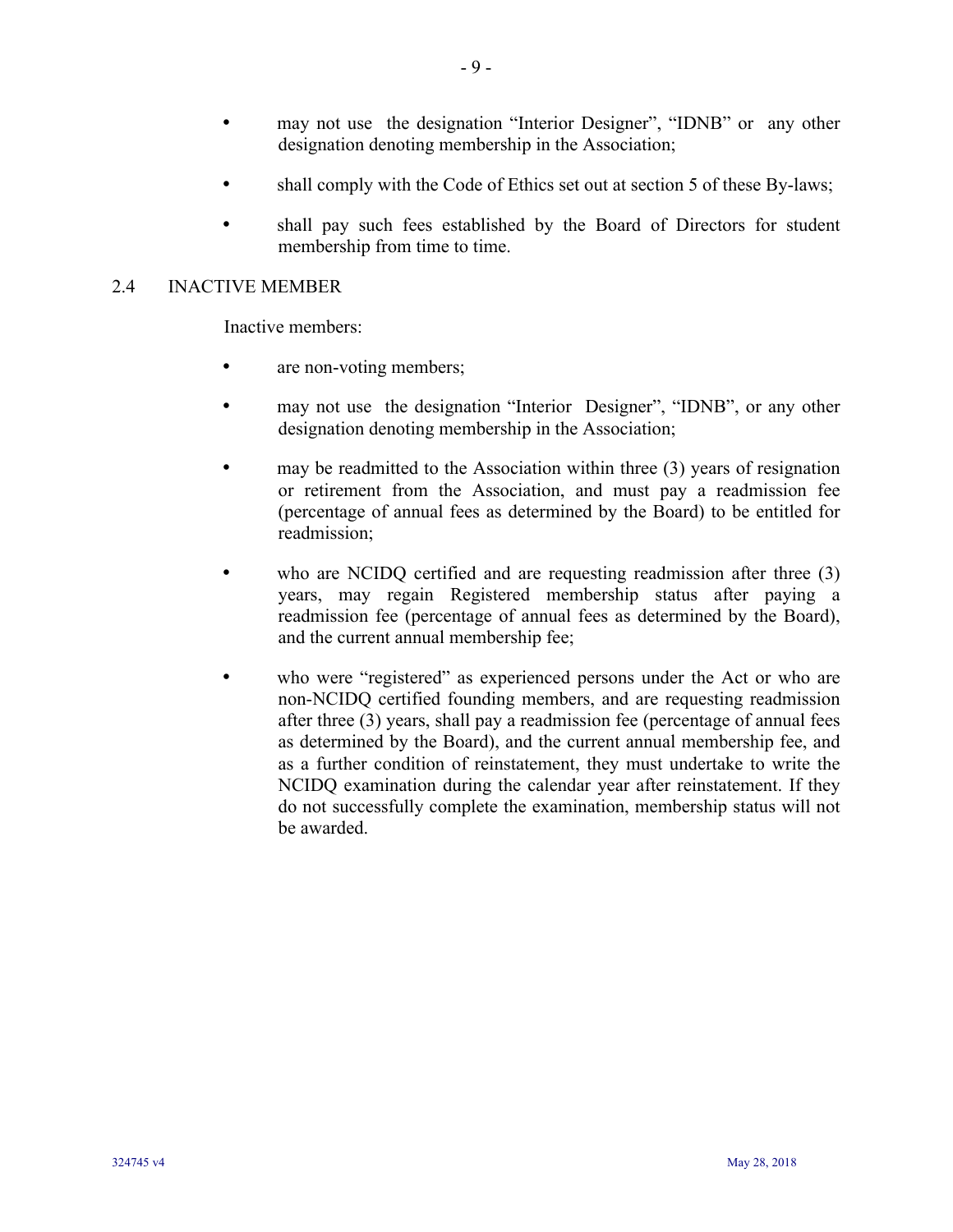- may not use the designation "Interior Designer", "IDNB" or any other designation denoting membership in the Association;
- shall comply with the Code of Ethics set out at section 5 of these By-laws;
- shall pay such fees established by the Board of Directors for student membership from time to time.

## 2.4 INACTIVE MEMBER

Inactive members:

- are non-voting members;
- may not use the designation "Interior Designer", "IDNB", or any other designation denoting membership in the Association;
- may be readmitted to the Association within three  $(3)$  years of resignation or retirement from the Association, and must pay a readmission fee (percentage of annual fees as determined by the Board) to be entitled for readmission;
- who are NCIDQ certified and are requesting readmission after three (3) years, may regain Registered membership status after paying a readmission fee (percentage of annual fees as determined by the Board), and the current annual membership fee;
- who were "registered" as experienced persons under the Act or who are non-NCIDQ certified founding members, and are requesting readmission after three (3) years, shall pay a readmission fee (percentage of annual fees as determined by the Board), and the current annual membership fee, and as a further condition of reinstatement, they must undertake to write the NCIDQ examination during the calendar year after reinstatement. If they do not successfully complete the examination, membership status will not be awarded.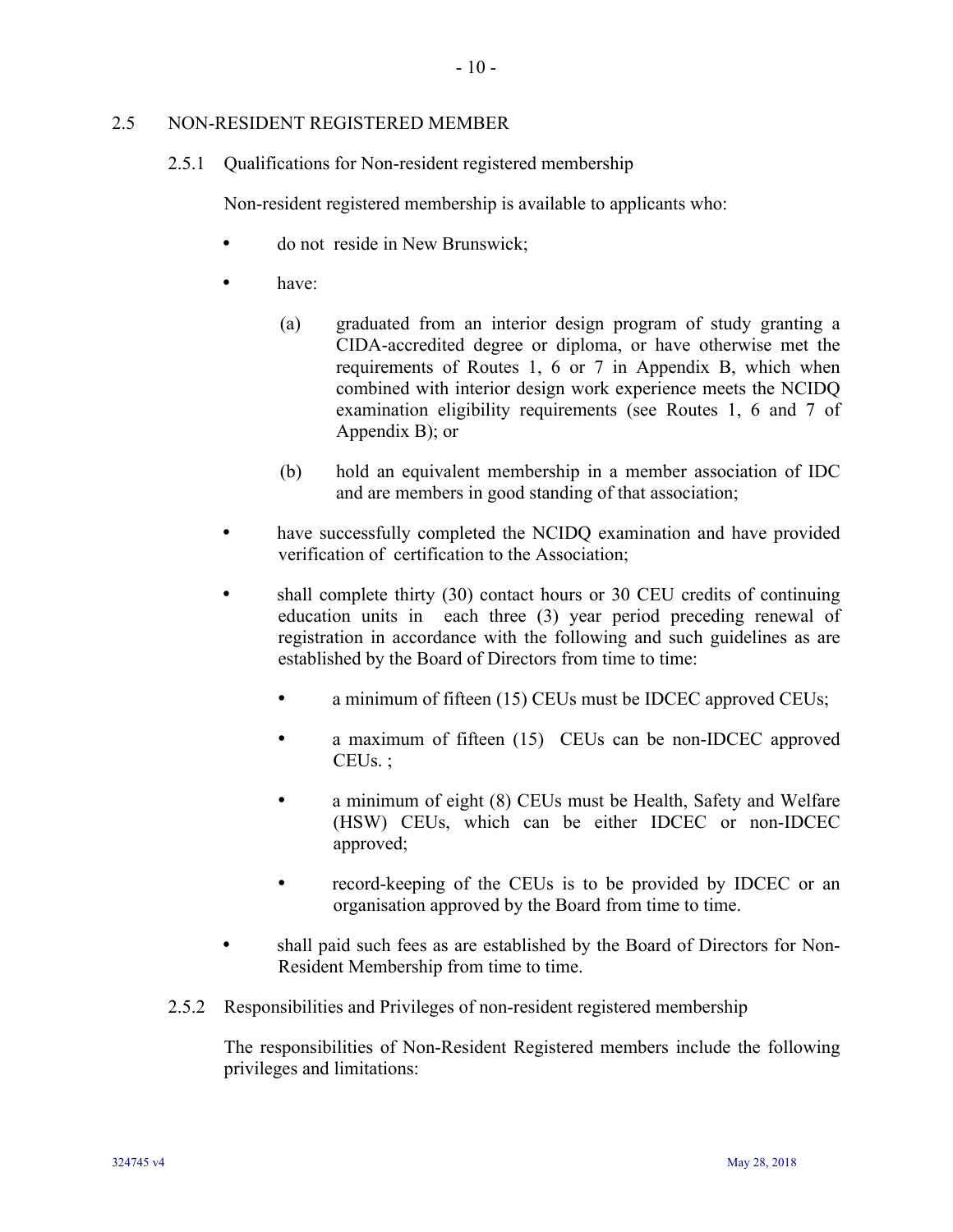#### 2.5 NON-RESIDENT REGISTERED MEMBER

2.5.1 Qualifications for Non-resident registered membership

Non-resident registered membership is available to applicants who:

- do not reside in New Brunswick;
- have<sup>-</sup>
	- (a) graduated from an interior design program of study granting a CIDA-accredited degree or diploma, or have otherwise met the requirements of Routes 1, 6 or 7 in Appendix B, which when combined with interior design work experience meets the NCIDQ examination eligibility requirements (see Routes 1, 6 and 7 of Appendix B); or
	- (b) hold an equivalent membership in a member association of IDC and are members in good standing of that association;
- have successfully completed the NCIDQ examination and have provided verification of certification to the Association;
- shall complete thirty (30) contact hours or 30 CEU credits of continuing education units in each three (3) year period preceding renewal of registration in accordance with the following and such guidelines as are established by the Board of Directors from time to time:
	- a minimum of fifteen (15) CEUs must be IDCEC approved CEUs;
	- a maximum of fifteen (15) CEUs can be non-IDCEC approved CEU<sub>s.</sub>:
	- a minimum of eight (8) CEUs must be Health, Safety and Welfare (HSW) CEUs, which can be either IDCEC or non-IDCEC approved;
	- record-keeping of the CEUs is to be provided by IDCEC or an organisation approved by the Board from time to time.
- shall paid such fees as are established by the Board of Directors for Non-Resident Membership from time to time.
- 2.5.2 Responsibilities and Privileges of non-resident registered membership

The responsibilities of Non-Resident Registered members include the following privileges and limitations: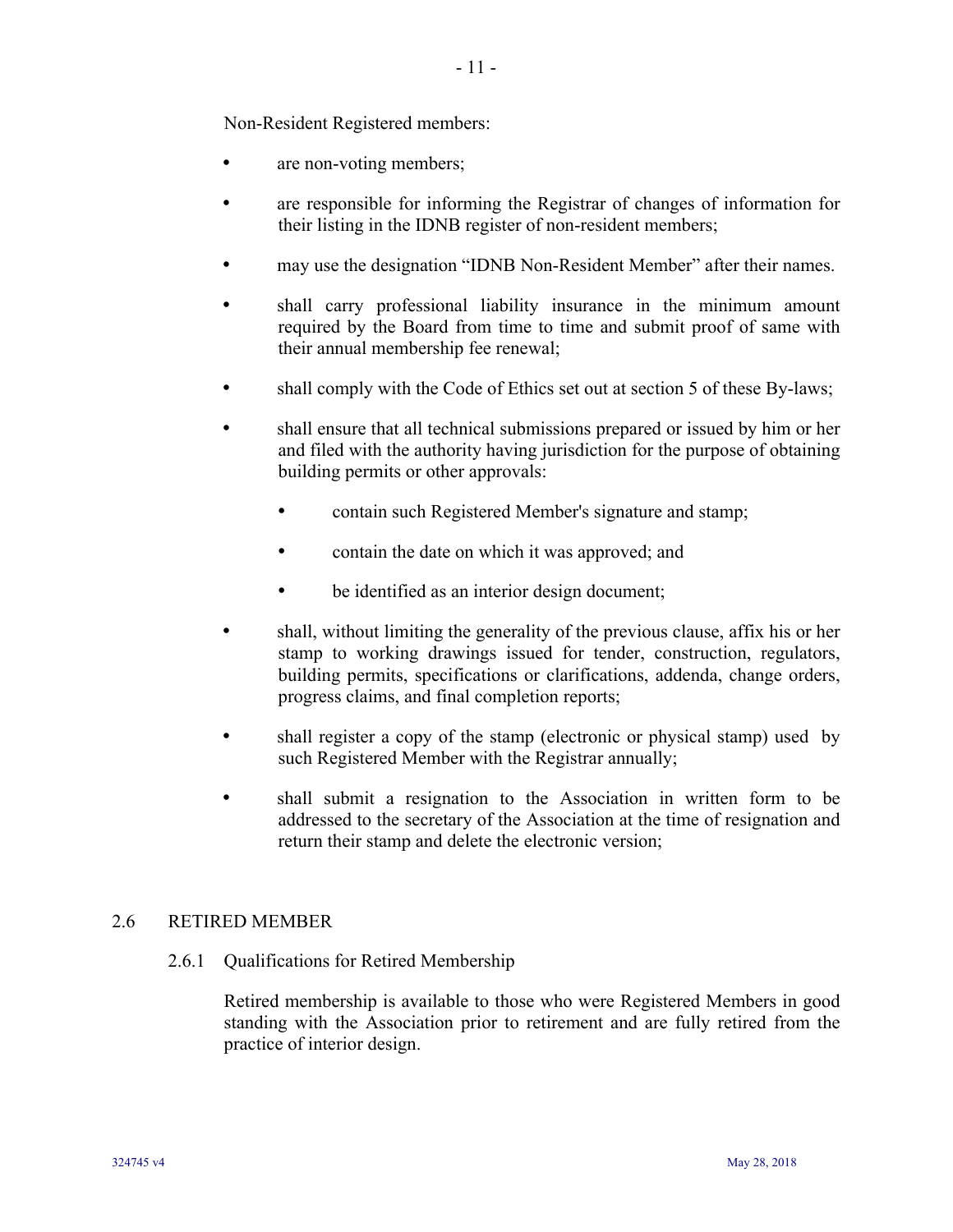Non-Resident Registered members:

- are non-voting members;
- are responsible for informing the Registrar of changes of information for their listing in the IDNB register of non-resident members;
- may use the designation "IDNB Non-Resident Member" after their names.
- shall carry professional liability insurance in the minimum amount required by the Board from time to time and submit proof of same with their annual membership fee renewal;
- shall comply with the Code of Ethics set out at section 5 of these By-laws;
- shall ensure that all technical submissions prepared or issued by him or her and filed with the authority having jurisdiction for the purpose of obtaining building permits or other approvals:
	- contain such Registered Member's signature and stamp;
	- contain the date on which it was approved; and
	- be identified as an interior design document;
- shall, without limiting the generality of the previous clause, affix his or her stamp to working drawings issued for tender, construction, regulators, building permits, specifications or clarifications, addenda, change orders, progress claims, and final completion reports;
- shall register a copy of the stamp (electronic or physical stamp) used by such Registered Member with the Registrar annually;
- shall submit a resignation to the Association in written form to be addressed to the secretary of the Association at the time of resignation and return their stamp and delete the electronic version;

#### 2.6 RETIRED MEMBER

## 2.6.1 Qualifications for Retired Membership

Retired membership is available to those who were Registered Members in good standing with the Association prior to retirement and are fully retired from the practice of interior design.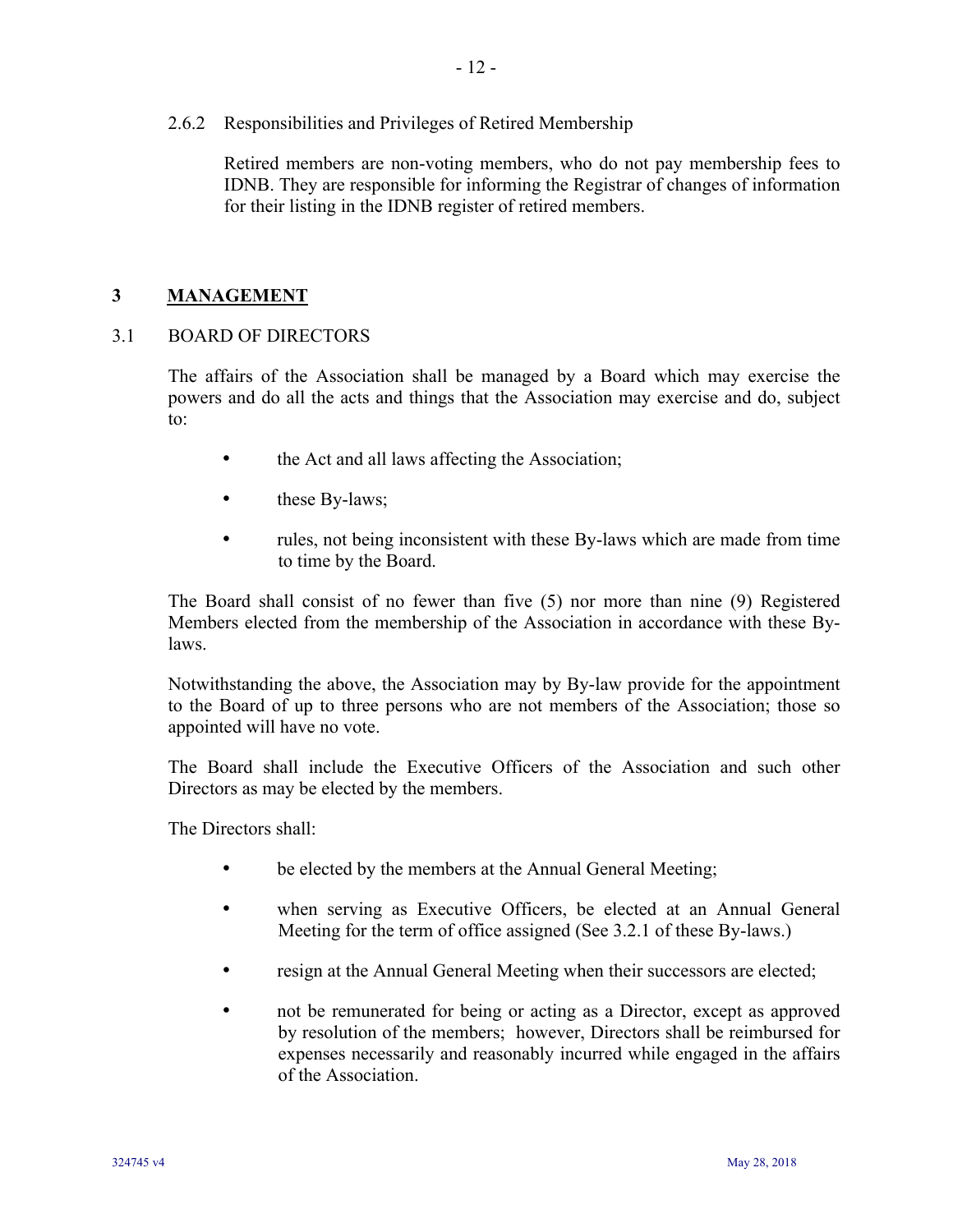Retired members are non-voting members, who do not pay membership fees to IDNB. They are responsible for informing the Registrar of changes of information for their listing in the IDNB register of retired members.

## **3 MANAGEMENT**

## 3.1 BOARD OF DIRECTORS

The affairs of the Association shall be managed by a Board which may exercise the powers and do all the acts and things that the Association may exercise and do, subject to:

- the Act and all laws affecting the Association;
- these By-laws;
- rules, not being inconsistent with these By-laws which are made from time to time by the Board.

The Board shall consist of no fewer than five (5) nor more than nine (9) Registered Members elected from the membership of the Association in accordance with these Bylaws.

Notwithstanding the above, the Association may by By-law provide for the appointment to the Board of up to three persons who are not members of the Association; those so appointed will have no vote.

The Board shall include the Executive Officers of the Association and such other Directors as may be elected by the members.

The Directors shall:

- be elected by the members at the Annual General Meeting;
- when serving as Executive Officers, be elected at an Annual General Meeting for the term of office assigned (See 3.2.1 of these By-laws.)
- resign at the Annual General Meeting when their successors are elected;
- not be remunerated for being or acting as a Director, except as approved by resolution of the members; however, Directors shall be reimbursed for expenses necessarily and reasonably incurred while engaged in the affairs of the Association.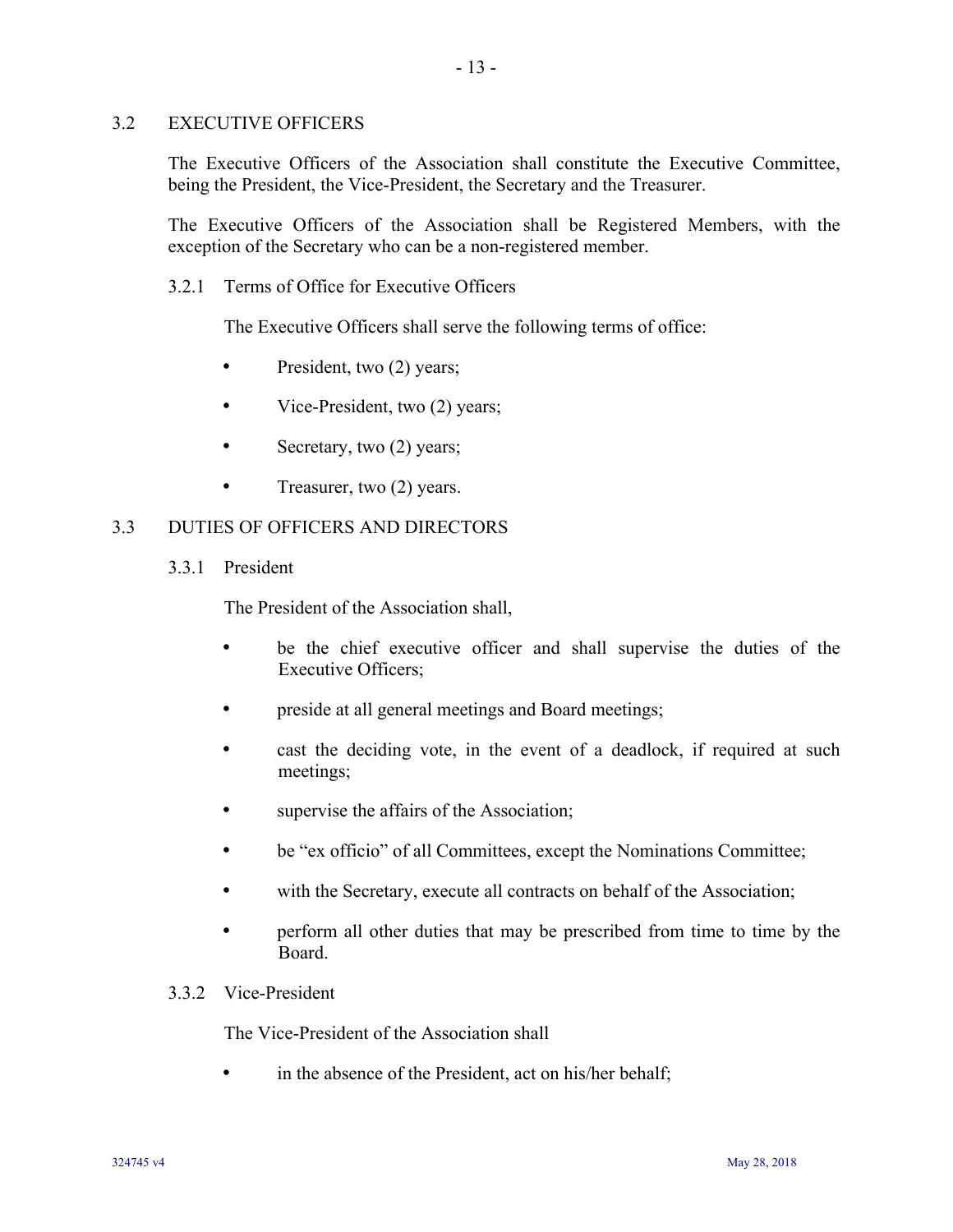## 3.2 EXECUTIVE OFFICERS

The Executive Officers of the Association shall constitute the Executive Committee, being the President, the Vice-President, the Secretary and the Treasurer.

The Executive Officers of the Association shall be Registered Members, with the exception of the Secretary who can be a non-registered member.

3.2.1 Terms of Office for Executive Officers

The Executive Officers shall serve the following terms of office:

- President, two (2) years;
- Vice-President, two (2) years;
- Secretary, two (2) years;
- Treasurer, two (2) years.

## 3.3 DUTIES OF OFFICERS AND DIRECTORS

3.3.1 President

The President of the Association shall,

- be the chief executive officer and shall supervise the duties of the Executive Officers;
- preside at all general meetings and Board meetings;
- cast the deciding vote, in the event of a deadlock, if required at such meetings;
- supervise the affairs of the Association;
- be "ex officio" of all Committees, except the Nominations Committee;
- with the Secretary, execute all contracts on behalf of the Association;
- perform all other duties that may be prescribed from time to time by the Board.
- 3.3.2 Vice-President

The Vice-President of the Association shall

in the absence of the President, act on his/her behalf;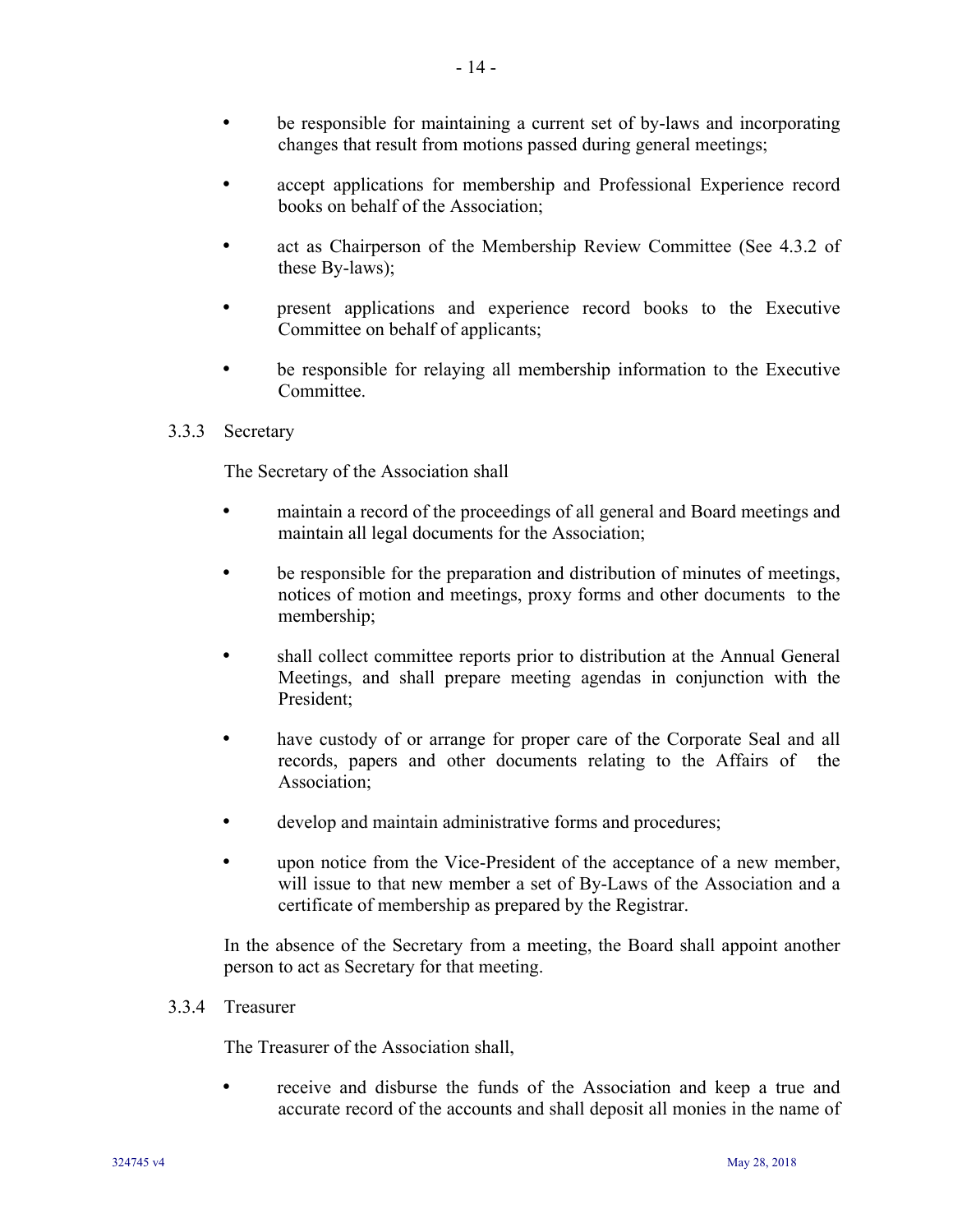- accept applications for membership and Professional Experience record books on behalf of the Association;
- act as Chairperson of the Membership Review Committee (See 4.3.2 of these By-laws);
- present applications and experience record books to the Executive Committee on behalf of applicants;
- be responsible for relaying all membership information to the Executive **Committee**

## 3.3.3 Secretary

The Secretary of the Association shall

- maintain a record of the proceedings of all general and Board meetings and maintain all legal documents for the Association;
- be responsible for the preparation and distribution of minutes of meetings, notices of motion and meetings, proxy forms and other documents to the membership;
- shall collect committee reports prior to distribution at the Annual General Meetings, and shall prepare meeting agendas in conjunction with the President;
- have custody of or arrange for proper care of the Corporate Seal and all records, papers and other documents relating to the Affairs of the Association;
- develop and maintain administrative forms and procedures;
- upon notice from the Vice-President of the acceptance of a new member, will issue to that new member a set of By-Laws of the Association and a certificate of membership as prepared by the Registrar.

In the absence of the Secretary from a meeting, the Board shall appoint another person to act as Secretary for that meeting.

## 3.3.4 Treasurer

The Treasurer of the Association shall,

• receive and disburse the funds of the Association and keep a true and accurate record of the accounts and shall deposit all monies in the name of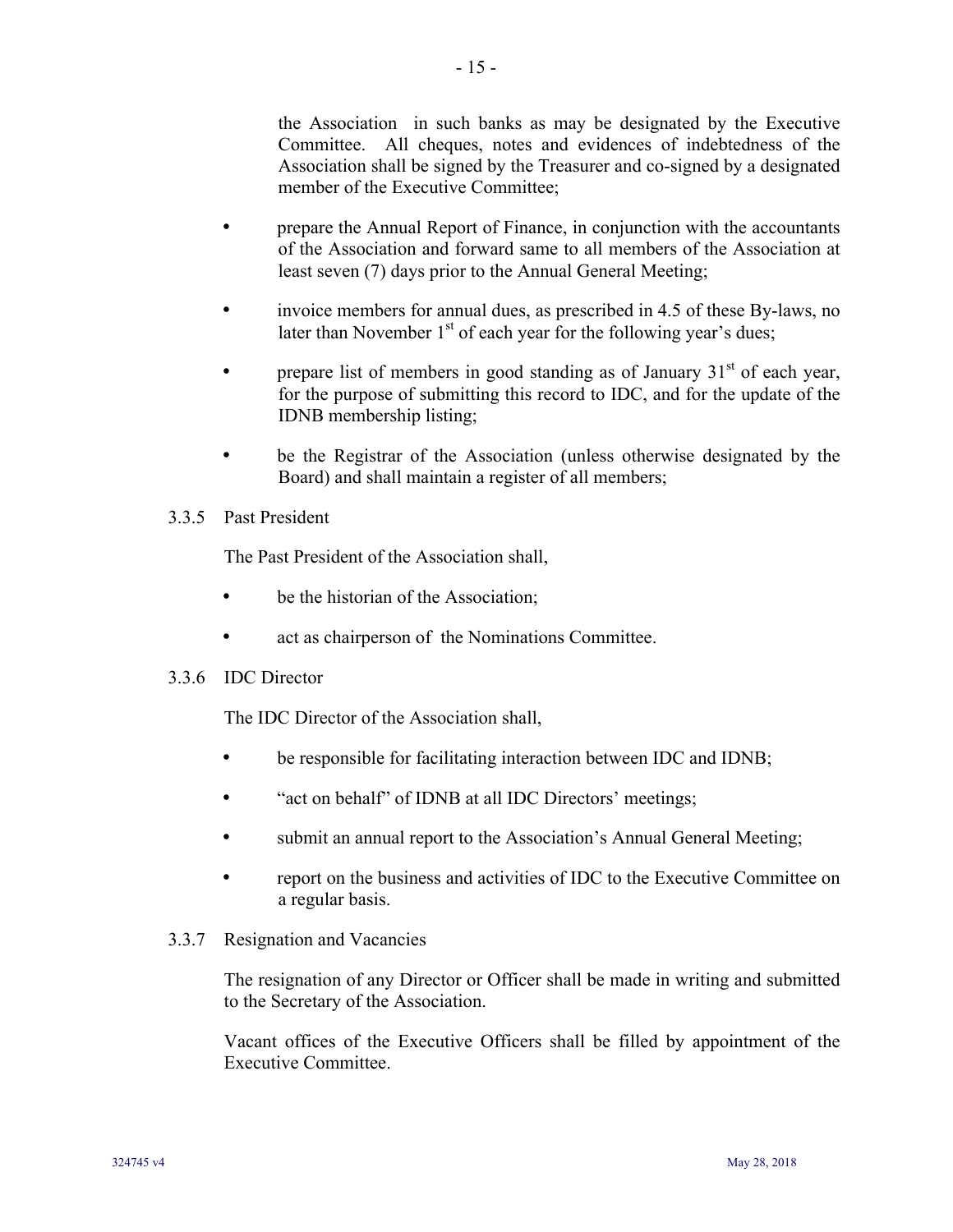the Association in such banks as may be designated by the Executive Committee. All cheques, notes and evidences of indebtedness of the Association shall be signed by the Treasurer and co-signed by a designated member of the Executive Committee;

- prepare the Annual Report of Finance, in conjunction with the accountants of the Association and forward same to all members of the Association at least seven (7) days prior to the Annual General Meeting;
- invoice members for annual dues, as prescribed in 4.5 of these By-laws, no later than November  $1<sup>st</sup>$  of each year for the following year's dues;
- prepare list of members in good standing as of January  $31<sup>st</sup>$  of each year, for the purpose of submitting this record to IDC, and for the update of the IDNB membership listing;
- be the Registrar of the Association (unless otherwise designated by the Board) and shall maintain a register of all members;

## 3.3.5 Past President

The Past President of the Association shall,

- be the historian of the Association;
- act as chairperson of the Nominations Committee.

## 3.3.6 IDC Director

The IDC Director of the Association shall,

- be responsible for facilitating interaction between IDC and IDNB;
- "act on behalf" of IDNB at all IDC Directors' meetings;
- submit an annual report to the Association's Annual General Meeting;
- report on the business and activities of IDC to the Executive Committee on a regular basis.

## 3.3.7 Resignation and Vacancies

The resignation of any Director or Officer shall be made in writing and submitted to the Secretary of the Association.

Vacant offices of the Executive Officers shall be filled by appointment of the Executive Committee.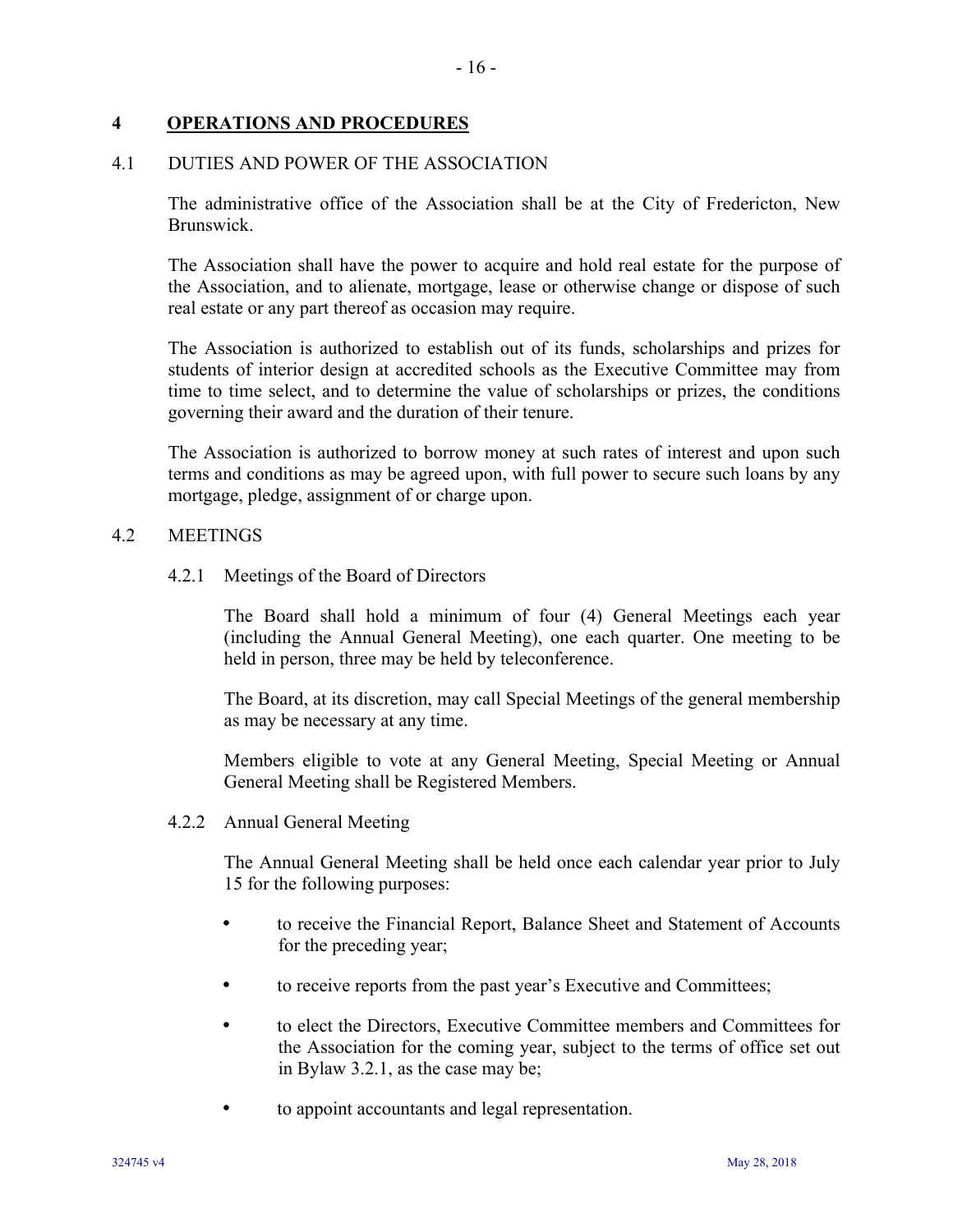#### **4 OPERATIONS AND PROCEDURES**

#### 4.1 DUTIES AND POWER OF THE ASSOCIATION

The administrative office of the Association shall be at the City of Fredericton, New Brunswick.

The Association shall have the power to acquire and hold real estate for the purpose of the Association, and to alienate, mortgage, lease or otherwise change or dispose of such real estate or any part thereof as occasion may require.

The Association is authorized to establish out of its funds, scholarships and prizes for students of interior design at accredited schools as the Executive Committee may from time to time select, and to determine the value of scholarships or prizes, the conditions governing their award and the duration of their tenure.

The Association is authorized to borrow money at such rates of interest and upon such terms and conditions as may be agreed upon, with full power to secure such loans by any mortgage, pledge, assignment of or charge upon.

#### 4.2 MEETINGS

#### 4.2.1 Meetings of the Board of Directors

The Board shall hold a minimum of four (4) General Meetings each year (including the Annual General Meeting), one each quarter. One meeting to be held in person, three may be held by teleconference.

The Board, at its discretion, may call Special Meetings of the general membership as may be necessary at any time.

Members eligible to vote at any General Meeting, Special Meeting or Annual General Meeting shall be Registered Members.

4.2.2 Annual General Meeting

The Annual General Meeting shall be held once each calendar year prior to July 15 for the following purposes:

- to receive the Financial Report, Balance Sheet and Statement of Accounts for the preceding year;
- to receive reports from the past year's Executive and Committees;
- to elect the Directors, Executive Committee members and Committees for the Association for the coming year, subject to the terms of office set out in Bylaw 3.2.1, as the case may be;
- to appoint accountants and legal representation.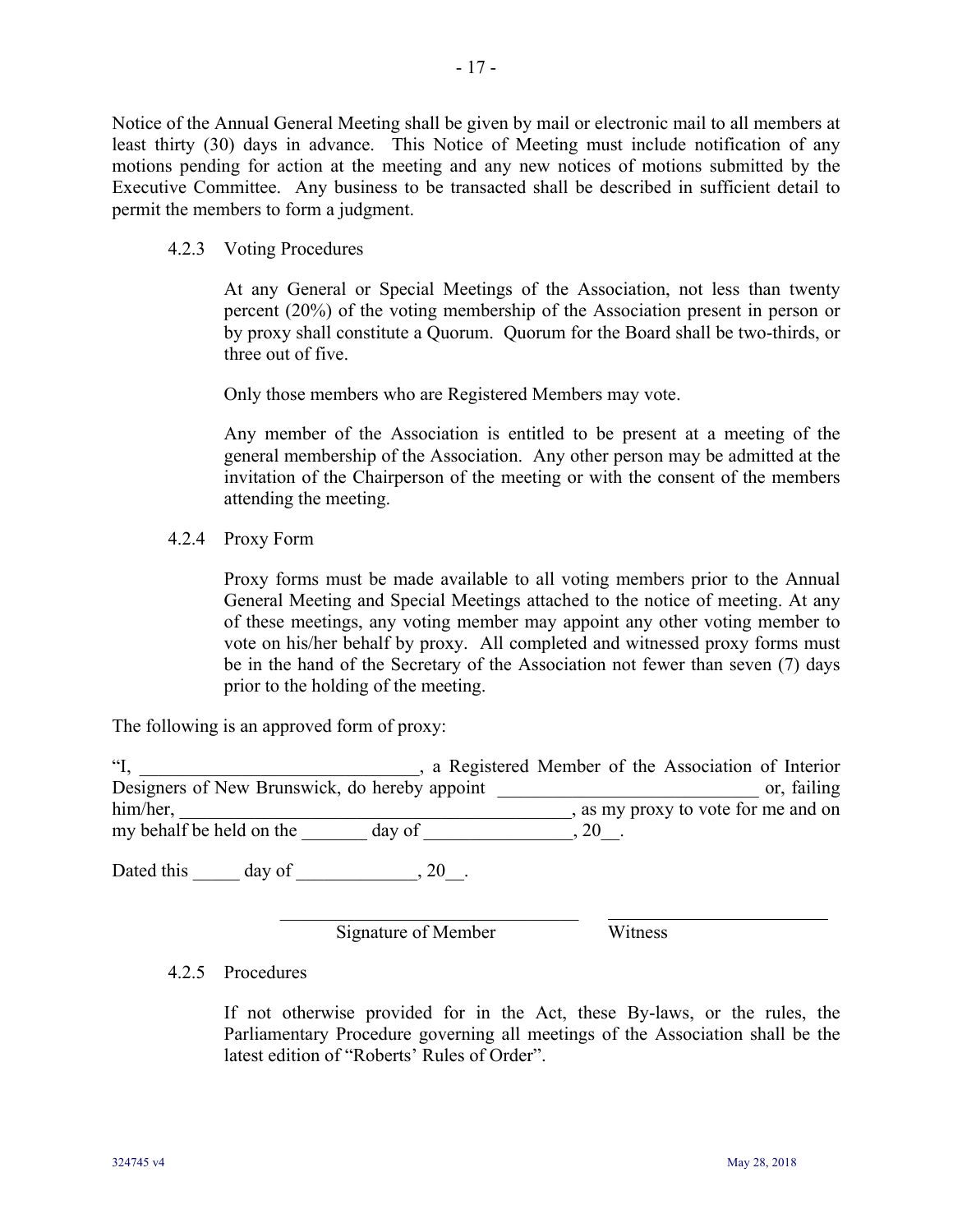- 17 -

Notice of the Annual General Meeting shall be given by mail or electronic mail to all members at least thirty (30) days in advance. This Notice of Meeting must include notification of any motions pending for action at the meeting and any new notices of motions submitted by the Executive Committee. Any business to be transacted shall be described in sufficient detail to permit the members to form a judgment.

4.2.3 Voting Procedures

At any General or Special Meetings of the Association, not less than twenty percent (20%) of the voting membership of the Association present in person or by proxy shall constitute a Quorum. Quorum for the Board shall be two-thirds, or three out of five.

Only those members who are Registered Members may vote.

Any member of the Association is entitled to be present at a meeting of the general membership of the Association. Any other person may be admitted at the invitation of the Chairperson of the meeting or with the consent of the members attending the meeting.

4.2.4 Proxy Form

Proxy forms must be made available to all voting members prior to the Annual General Meeting and Special Meetings attached to the notice of meeting. At any of these meetings, any voting member may appoint any other voting member to vote on his/her behalf by proxy. All completed and witnessed proxy forms must be in the hand of the Secretary of the Association not fewer than seven (7) days prior to the holding of the meeting.

The following is an approved form of proxy:

"I, \_\_\_\_\_\_\_\_\_\_\_\_\_\_\_\_\_\_\_\_\_\_\_\_\_\_\_\_\_\_, a Registered Member of the Association of Interior Designers of New Brunswick, do hereby appoint \_\_\_\_\_\_\_\_\_\_\_\_\_\_\_\_\_\_\_\_\_\_\_\_\_\_\_\_ or, failing him/her, \_\_\_\_\_\_\_\_\_\_\_\_\_\_\_\_\_\_\_\_\_\_\_\_\_\_\_\_\_\_\_\_\_\_\_\_\_\_\_\_\_\_, as my proxy to vote for me and on mum her,  $\frac{1}{\text{m}}$  behalf be held on the  $\frac{1}{\text{m}}$  day of  $\frac{1}{\text{m}}$ , 20.

Dated this  $\_\_\_\_\$  day of  $\_\_\_\_\_\$ , 20 $\_\_\_\$ .

 $\mathcal{L}_\text{max}$  , where  $\mathcal{L}_\text{max}$  and  $\mathcal{L}_\text{max}$  and  $\mathcal{L}_\text{max}$ Signature of Member Witness

## 4.2.5 Procedures

If not otherwise provided for in the Act, these By-laws, or the rules, the Parliamentary Procedure governing all meetings of the Association shall be the latest edition of "Roberts' Rules of Order".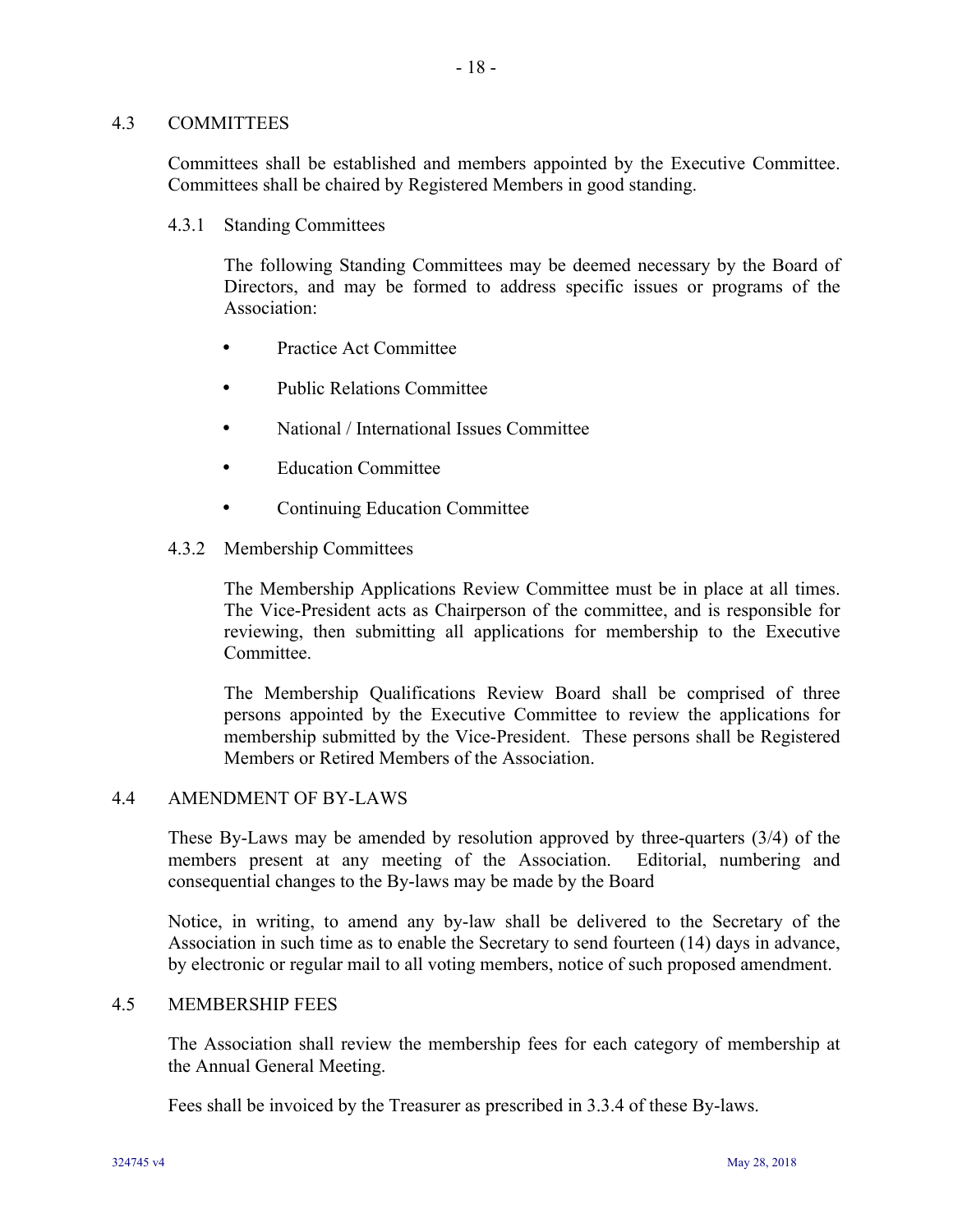#### 4.3 COMMITTEES

Committees shall be established and members appointed by the Executive Committee. Committees shall be chaired by Registered Members in good standing.

#### 4.3.1 Standing Committees

The following Standing Committees may be deemed necessary by the Board of Directors, and may be formed to address specific issues or programs of the Association:

- Practice Act Committee
- Public Relations Committee
- National / International Issues Committee
- Education Committee
- Continuing Education Committee
- 4.3.2 Membership Committees

The Membership Applications Review Committee must be in place at all times. The Vice-President acts as Chairperson of the committee, and is responsible for reviewing, then submitting all applications for membership to the Executive **Committee** 

The Membership Qualifications Review Board shall be comprised of three persons appointed by the Executive Committee to review the applications for membership submitted by the Vice-President. These persons shall be Registered Members or Retired Members of the Association.

#### 4.4 AMENDMENT OF BY-LAWS

These By-Laws may be amended by resolution approved by three-quarters (3/4) of the members present at any meeting of the Association. Editorial, numbering and consequential changes to the By-laws may be made by the Board

Notice, in writing, to amend any by-law shall be delivered to the Secretary of the Association in such time as to enable the Secretary to send fourteen (14) days in advance, by electronic or regular mail to all voting members, notice of such proposed amendment.

#### 4.5 MEMBERSHIP FEES

The Association shall review the membership fees for each category of membership at the Annual General Meeting.

Fees shall be invoiced by the Treasurer as prescribed in 3.3.4 of these By-laws.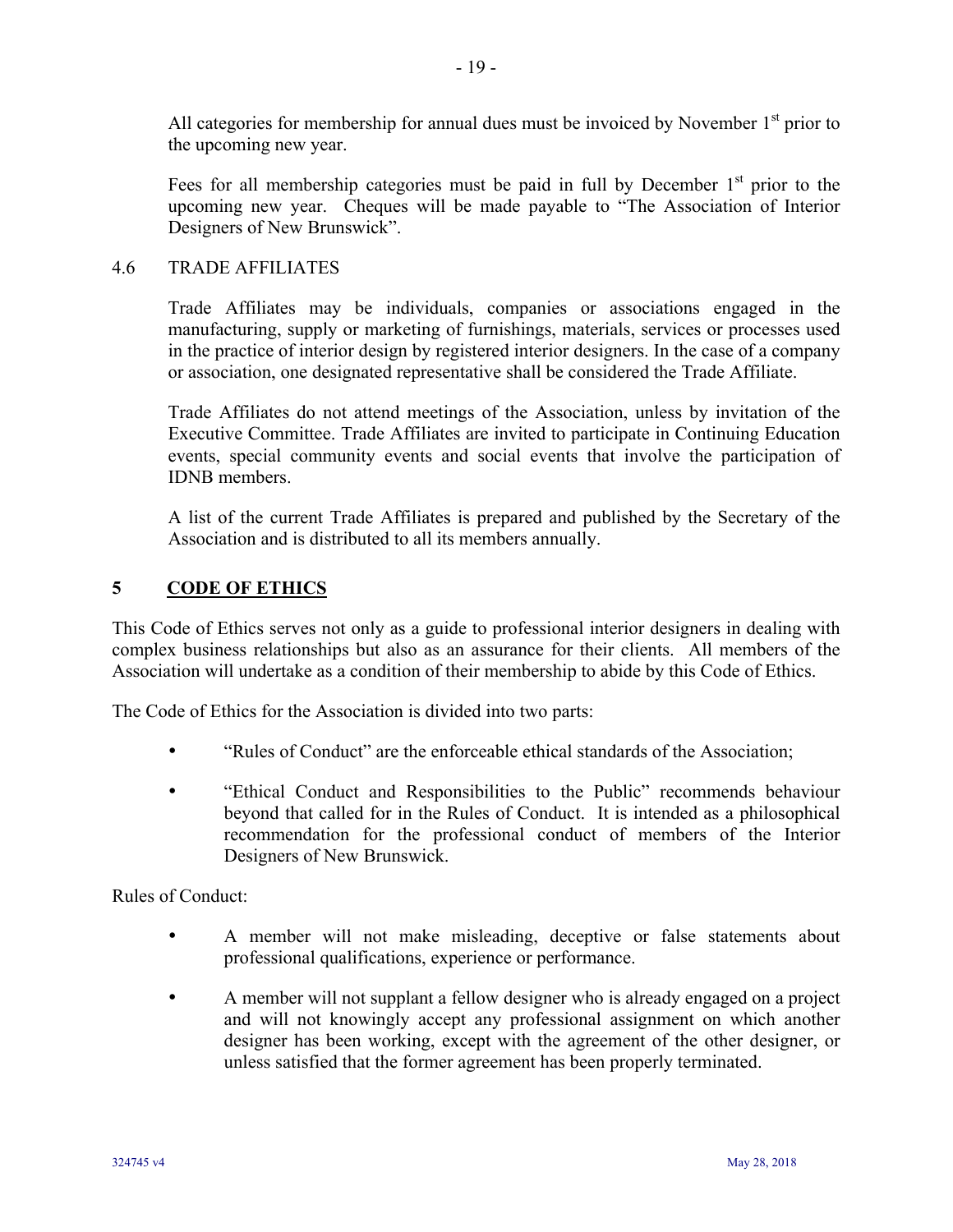All categories for membership for annual dues must be invoiced by November  $1<sup>st</sup>$  prior to the upcoming new year.

Fees for all membership categories must be paid in full by December  $1<sup>st</sup>$  prior to the upcoming new year. Cheques will be made payable to "The Association of Interior Designers of New Brunswick".

## 4.6 TRADE AFFILIATES

Trade Affiliates may be individuals, companies or associations engaged in the manufacturing, supply or marketing of furnishings, materials, services or processes used in the practice of interior design by registered interior designers. In the case of a company or association, one designated representative shall be considered the Trade Affiliate.

Trade Affiliates do not attend meetings of the Association, unless by invitation of the Executive Committee. Trade Affiliates are invited to participate in Continuing Education events, special community events and social events that involve the participation of IDNB members.

A list of the current Trade Affiliates is prepared and published by the Secretary of the Association and is distributed to all its members annually.

## **5 CODE OF ETHICS**

This Code of Ethics serves not only as a guide to professional interior designers in dealing with complex business relationships but also as an assurance for their clients. All members of the Association will undertake as a condition of their membership to abide by this Code of Ethics.

The Code of Ethics for the Association is divided into two parts:

- "Rules of Conduct" are the enforceable ethical standards of the Association;
- "Ethical Conduct and Responsibilities to the Public" recommends behaviour beyond that called for in the Rules of Conduct. It is intended as a philosophical recommendation for the professional conduct of members of the Interior Designers of New Brunswick.

Rules of Conduct:

- A member will not make misleading, deceptive or false statements about professional qualifications, experience or performance.
- A member will not supplant a fellow designer who is already engaged on a project and will not knowingly accept any professional assignment on which another designer has been working, except with the agreement of the other designer, or unless satisfied that the former agreement has been properly terminated.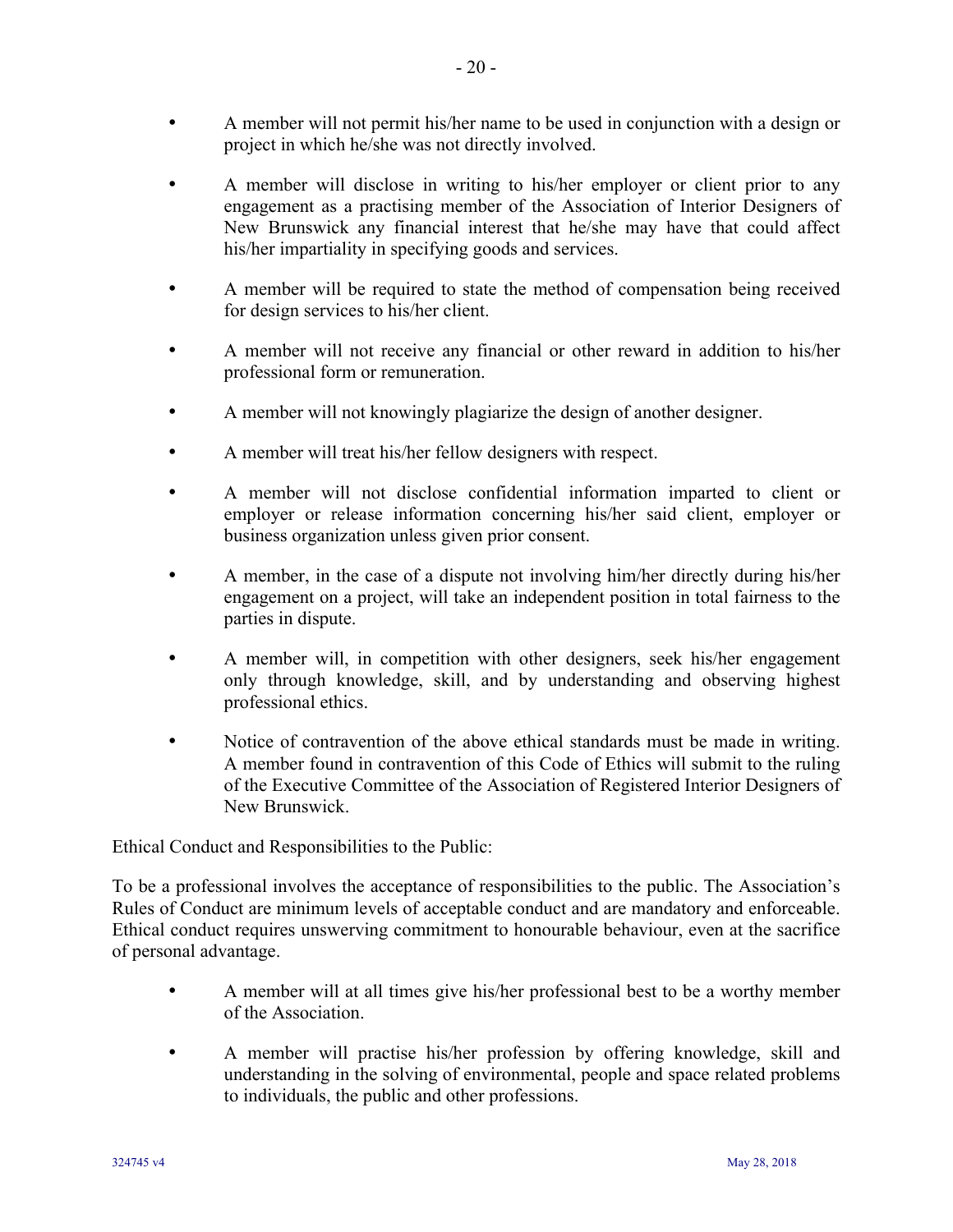- A member will not permit his/her name to be used in conjunction with a design or project in which he/she was not directly involved.
- A member will disclose in writing to his/her employer or client prior to any engagement as a practising member of the Association of Interior Designers of New Brunswick any financial interest that he/she may have that could affect his/her impartiality in specifying goods and services.
- A member will be required to state the method of compensation being received for design services to his/her client.
- A member will not receive any financial or other reward in addition to his/her professional form or remuneration.
- A member will not knowingly plagiarize the design of another designer.
- A member will treat his/her fellow designers with respect.
- A member will not disclose confidential information imparted to client or employer or release information concerning his/her said client, employer or business organization unless given prior consent.
- A member, in the case of a dispute not involving him/her directly during his/her engagement on a project, will take an independent position in total fairness to the parties in dispute.
- A member will, in competition with other designers, seek his/her engagement only through knowledge, skill, and by understanding and observing highest professional ethics.
- Notice of contravention of the above ethical standards must be made in writing. A member found in contravention of this Code of Ethics will submit to the ruling of the Executive Committee of the Association of Registered Interior Designers of New Brunswick.

Ethical Conduct and Responsibilities to the Public:

To be a professional involves the acceptance of responsibilities to the public. The Association's Rules of Conduct are minimum levels of acceptable conduct and are mandatory and enforceable. Ethical conduct requires unswerving commitment to honourable behaviour, even at the sacrifice of personal advantage.

- A member will at all times give his/her professional best to be a worthy member of the Association.
- A member will practise his/her profession by offering knowledge, skill and understanding in the solving of environmental, people and space related problems to individuals, the public and other professions.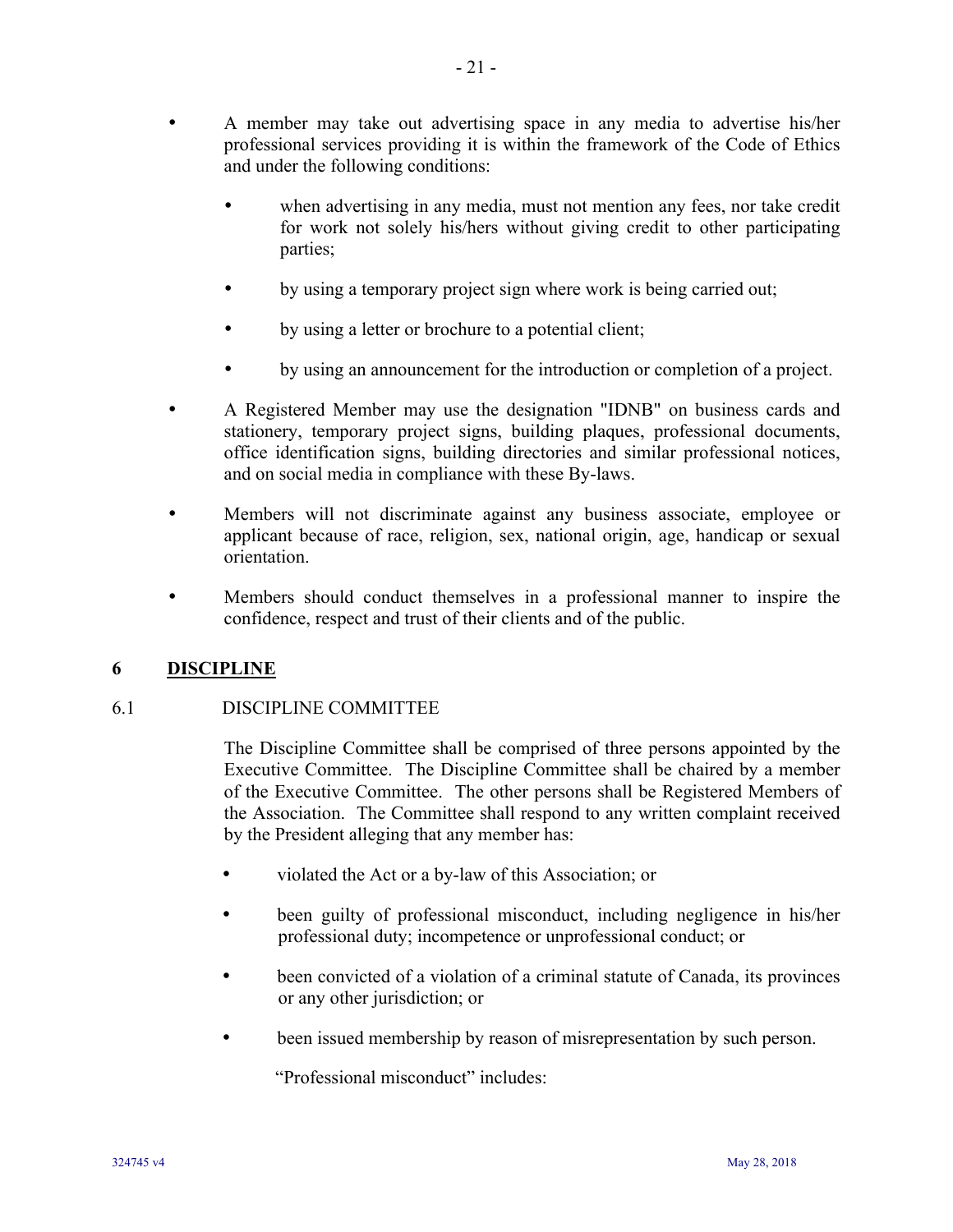- A member may take out advertising space in any media to advertise his/her professional services providing it is within the framework of the Code of Ethics and under the following conditions:
	- when advertising in any media, must not mention any fees, nor take credit for work not solely his/hers without giving credit to other participating parties;
	- by using a temporary project sign where work is being carried out;
	- by using a letter or brochure to a potential client;
	- by using an announcement for the introduction or completion of a project.
- A Registered Member may use the designation "IDNB" on business cards and stationery, temporary project signs, building plaques, professional documents, office identification signs, building directories and similar professional notices, and on social media in compliance with these By-laws.
- Members will not discriminate against any business associate, employee or applicant because of race, religion, sex, national origin, age, handicap or sexual orientation.
- Members should conduct themselves in a professional manner to inspire the confidence, respect and trust of their clients and of the public.

## **6 DISCIPLINE**

## 6.1 DISCIPLINE COMMITTEE

The Discipline Committee shall be comprised of three persons appointed by the Executive Committee. The Discipline Committee shall be chaired by a member of the Executive Committee. The other persons shall be Registered Members of the Association. The Committee shall respond to any written complaint received by the President alleging that any member has:

- violated the Act or a by-law of this Association; or
- been guilty of professional misconduct, including negligence in his/her professional duty; incompetence or unprofessional conduct; or
- been convicted of a violation of a criminal statute of Canada, its provinces or any other jurisdiction; or
- been issued membership by reason of misrepresentation by such person.

"Professional misconduct" includes: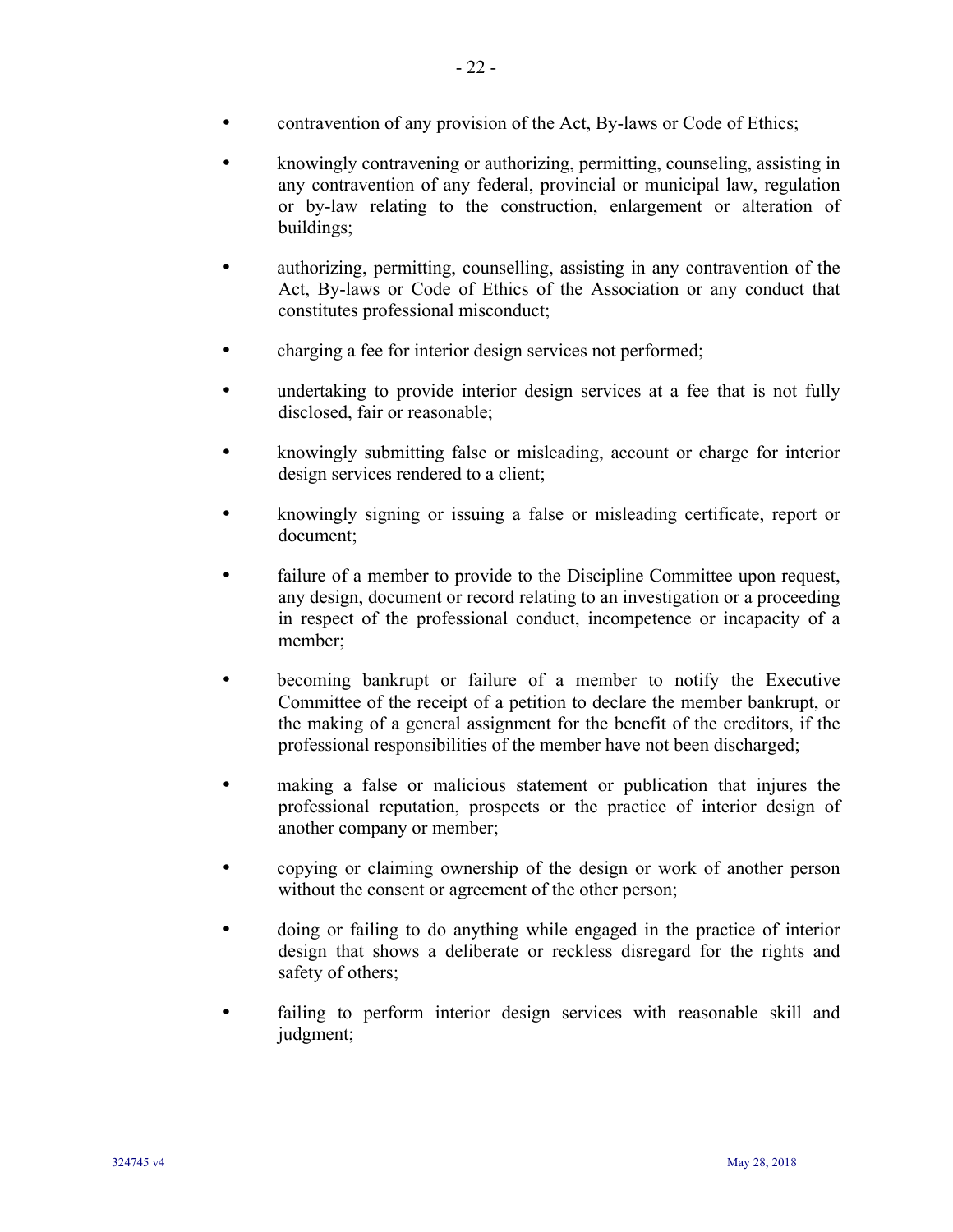- knowingly contravening or authorizing, permitting, counseling, assisting in any contravention of any federal, provincial or municipal law, regulation or by-law relating to the construction, enlargement or alteration of buildings;
- authorizing, permitting, counselling, assisting in any contravention of the Act, By-laws or Code of Ethics of the Association or any conduct that constitutes professional misconduct;
- charging a fee for interior design services not performed;
- undertaking to provide interior design services at a fee that is not fully disclosed, fair or reasonable;
- knowingly submitting false or misleading, account or charge for interior design services rendered to a client;
- knowingly signing or issuing a false or misleading certificate, report or document;
- failure of a member to provide to the Discipline Committee upon request, any design, document or record relating to an investigation or a proceeding in respect of the professional conduct, incompetence or incapacity of a member;
- becoming bankrupt or failure of a member to notify the Executive Committee of the receipt of a petition to declare the member bankrupt, or the making of a general assignment for the benefit of the creditors, if the professional responsibilities of the member have not been discharged;
- making a false or malicious statement or publication that injures the professional reputation, prospects or the practice of interior design of another company or member;
- copying or claiming ownership of the design or work of another person without the consent or agreement of the other person;
- doing or failing to do anything while engaged in the practice of interior design that shows a deliberate or reckless disregard for the rights and safety of others;
- failing to perform interior design services with reasonable skill and judgment;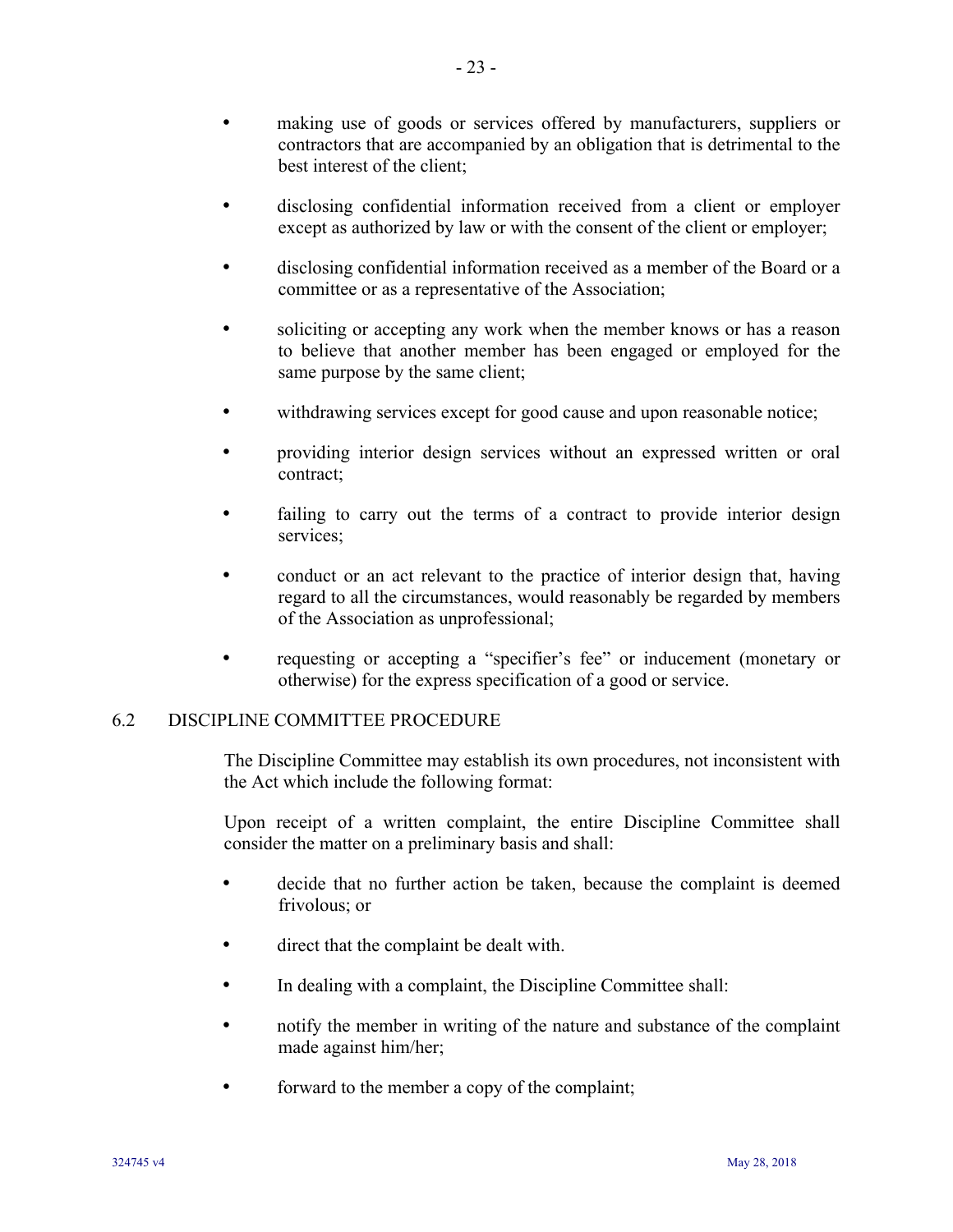- making use of goods or services offered by manufacturers, suppliers or contractors that are accompanied by an obligation that is detrimental to the best interest of the client;
- disclosing confidential information received from a client or employer except as authorized by law or with the consent of the client or employer;
- disclosing confidential information received as a member of the Board or a committee or as a representative of the Association;
- soliciting or accepting any work when the member knows or has a reason to believe that another member has been engaged or employed for the same purpose by the same client;
- withdrawing services except for good cause and upon reasonable notice;
- providing interior design services without an expressed written or oral contract;
- failing to carry out the terms of a contract to provide interior design services;
- conduct or an act relevant to the practice of interior design that, having regard to all the circumstances, would reasonably be regarded by members of the Association as unprofessional;
- requesting or accepting a "specifier's fee" or inducement (monetary or otherwise) for the express specification of a good or service.

## 6.2 DISCIPLINE COMMITTEE PROCEDURE

The Discipline Committee may establish its own procedures, not inconsistent with the Act which include the following format:

Upon receipt of a written complaint, the entire Discipline Committee shall consider the matter on a preliminary basis and shall:

- decide that no further action be taken, because the complaint is deemed frivolous; or
- direct that the complaint be dealt with.
- In dealing with a complaint, the Discipline Committee shall:
- notify the member in writing of the nature and substance of the complaint made against him/her;
- forward to the member a copy of the complaint;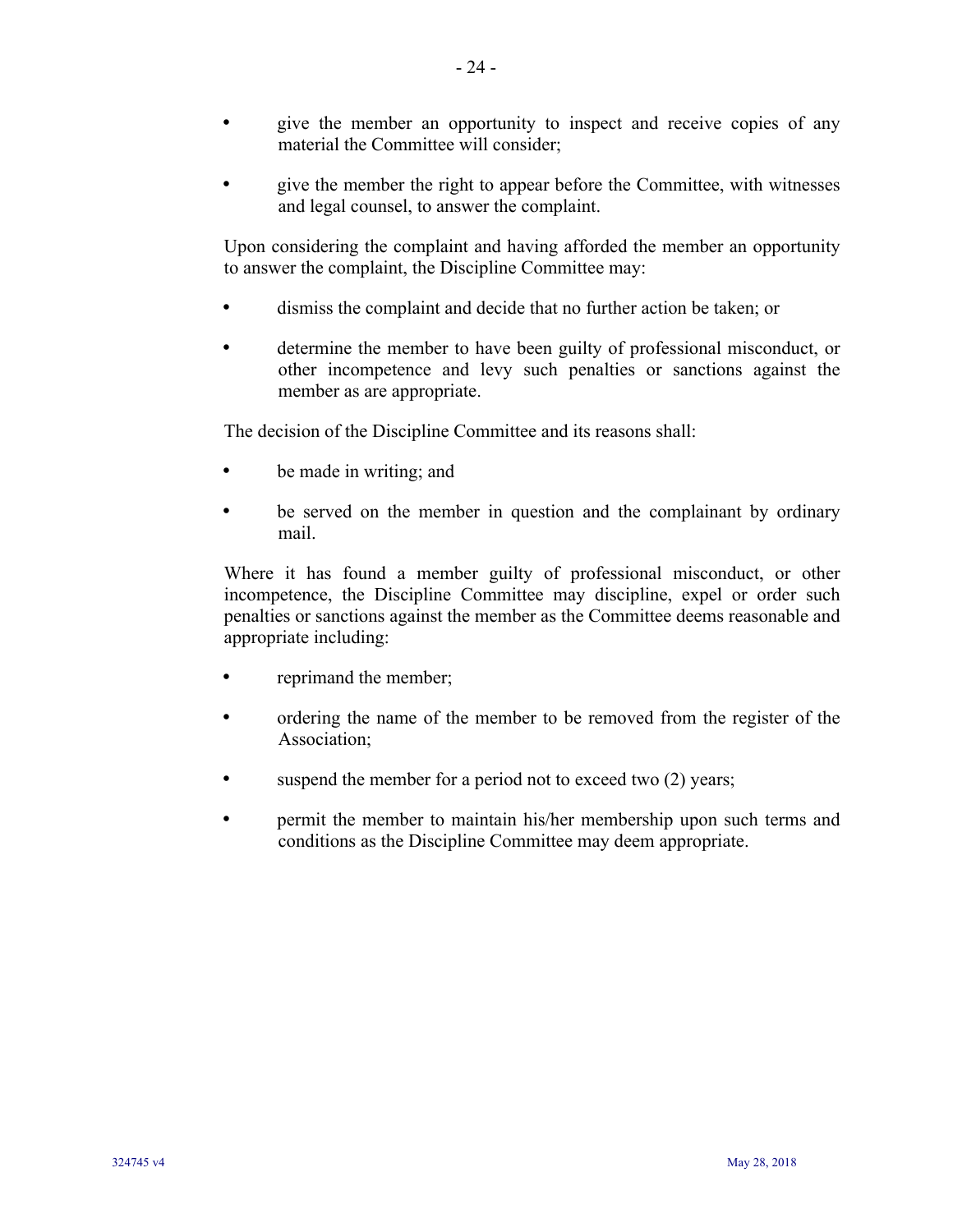- give the member an opportunity to inspect and receive copies of any material the Committee will consider;
- give the member the right to appear before the Committee, with witnesses and legal counsel, to answer the complaint.

Upon considering the complaint and having afforded the member an opportunity to answer the complaint, the Discipline Committee may:

- dismiss the complaint and decide that no further action be taken; or
- determine the member to have been guilty of professional misconduct, or other incompetence and levy such penalties or sanctions against the member as are appropriate.

The decision of the Discipline Committee and its reasons shall:

- be made in writing; and
- be served on the member in question and the complainant by ordinary mail.

Where it has found a member guilty of professional misconduct, or other incompetence, the Discipline Committee may discipline, expel or order such penalties or sanctions against the member as the Committee deems reasonable and appropriate including:

- reprimand the member;
- ordering the name of the member to be removed from the register of the Association;
- suspend the member for a period not to exceed two (2) years;
- permit the member to maintain his/her membership upon such terms and conditions as the Discipline Committee may deem appropriate.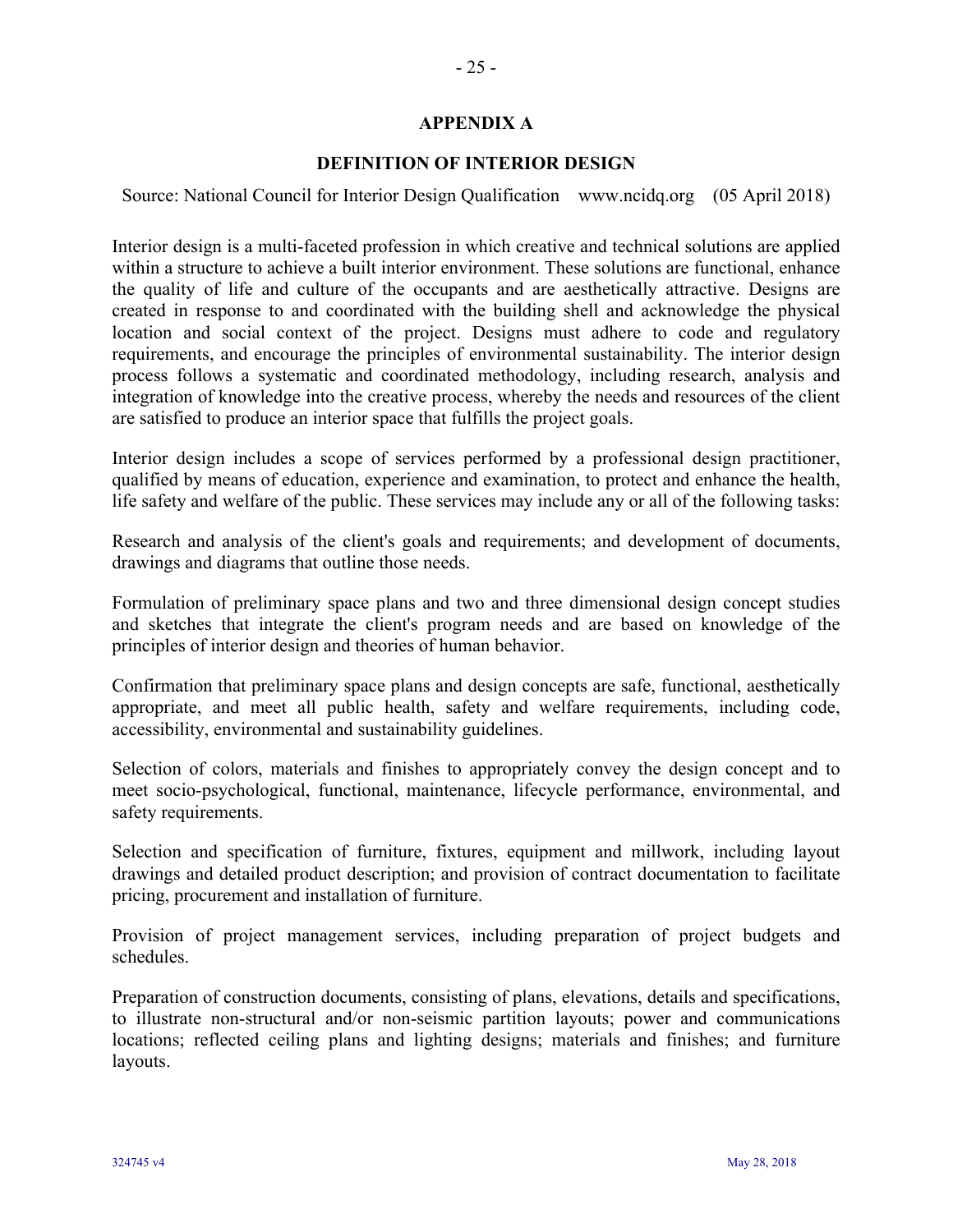## **APPENDIX A**

#### **DEFINITION OF INTERIOR DESIGN**

Source: National Council for Interior Design Qualification www.ncidq.org (05 April 2018)

Interior design is a multi-faceted profession in which creative and technical solutions are applied within a structure to achieve a built interior environment. These solutions are functional, enhance the quality of life and culture of the occupants and are aesthetically attractive. Designs are created in response to and coordinated with the building shell and acknowledge the physical location and social context of the project. Designs must adhere to code and regulatory requirements, and encourage the principles of environmental sustainability. The interior design process follows a systematic and coordinated methodology, including research, analysis and integration of knowledge into the creative process, whereby the needs and resources of the client are satisfied to produce an interior space that fulfills the project goals.

Interior design includes a scope of services performed by a professional design practitioner, qualified by means of education, experience and examination, to protect and enhance the health, life safety and welfare of the public. These services may include any or all of the following tasks:

Research and analysis of the client's goals and requirements; and development of documents, drawings and diagrams that outline those needs.

Formulation of preliminary space plans and two and three dimensional design concept studies and sketches that integrate the client's program needs and are based on knowledge of the principles of interior design and theories of human behavior.

Confirmation that preliminary space plans and design concepts are safe, functional, aesthetically appropriate, and meet all public health, safety and welfare requirements, including code, accessibility, environmental and sustainability guidelines.

Selection of colors, materials and finishes to appropriately convey the design concept and to meet socio-psychological, functional, maintenance, lifecycle performance, environmental, and safety requirements.

Selection and specification of furniture, fixtures, equipment and millwork, including layout drawings and detailed product description; and provision of contract documentation to facilitate pricing, procurement and installation of furniture.

Provision of project management services, including preparation of project budgets and schedules.

Preparation of construction documents, consisting of plans, elevations, details and specifications, to illustrate non-structural and/or non-seismic partition layouts; power and communications locations; reflected ceiling plans and lighting designs; materials and finishes; and furniture layouts.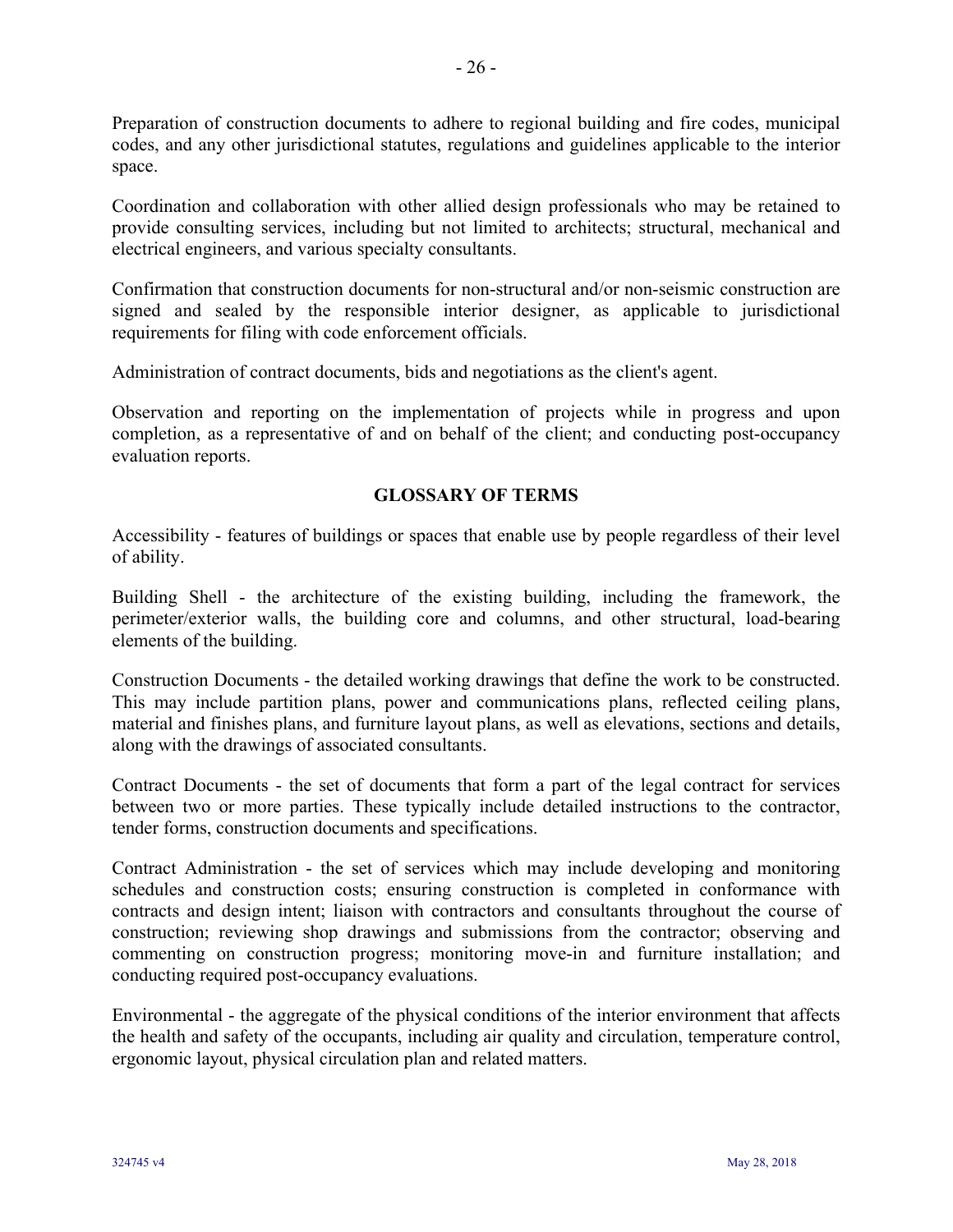Preparation of construction documents to adhere to regional building and fire codes, municipal codes, and any other jurisdictional statutes, regulations and guidelines applicable to the interior space.

Coordination and collaboration with other allied design professionals who may be retained to provide consulting services, including but not limited to architects; structural, mechanical and electrical engineers, and various specialty consultants.

Confirmation that construction documents for non-structural and/or non-seismic construction are signed and sealed by the responsible interior designer, as applicable to jurisdictional requirements for filing with code enforcement officials.

Administration of contract documents, bids and negotiations as the client's agent.

Observation and reporting on the implementation of projects while in progress and upon completion, as a representative of and on behalf of the client; and conducting post-occupancy evaluation reports.

## **GLOSSARY OF TERMS**

Accessibility - features of buildings or spaces that enable use by people regardless of their level of ability.

Building Shell - the architecture of the existing building, including the framework, the perimeter/exterior walls, the building core and columns, and other structural, load-bearing elements of the building.

Construction Documents - the detailed working drawings that define the work to be constructed. This may include partition plans, power and communications plans, reflected ceiling plans, material and finishes plans, and furniture layout plans, as well as elevations, sections and details, along with the drawings of associated consultants.

Contract Documents - the set of documents that form a part of the legal contract for services between two or more parties. These typically include detailed instructions to the contractor, tender forms, construction documents and specifications.

Contract Administration - the set of services which may include developing and monitoring schedules and construction costs; ensuring construction is completed in conformance with contracts and design intent; liaison with contractors and consultants throughout the course of construction; reviewing shop drawings and submissions from the contractor; observing and commenting on construction progress; monitoring move-in and furniture installation; and conducting required post-occupancy evaluations.

Environmental - the aggregate of the physical conditions of the interior environment that affects the health and safety of the occupants, including air quality and circulation, temperature control, ergonomic layout, physical circulation plan and related matters.